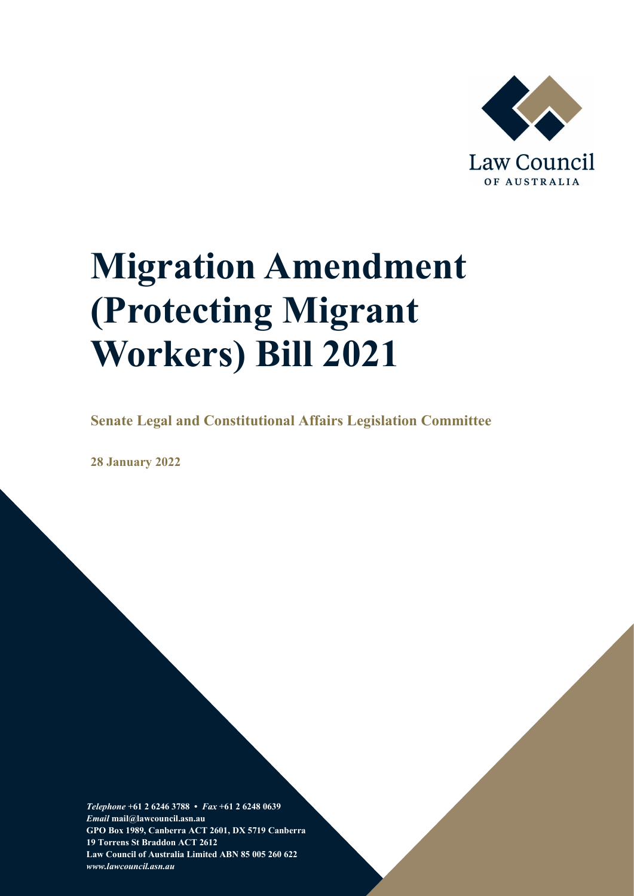

# **Migration Amendment (Protecting Migrant Workers) Bill 2021**

**Senate Legal and Constitutional Affairs Legislation Committee**

**28 January 2022**

*Telephone* **+61 2 6246 3788 •** *Fax* **+61 2 6248 0639**  *Email* **mail@lawcouncil.asn.au GPO Box 1989, Canberra ACT 2601, DX 5719 Canberra 19 Torrens St Braddon ACT 2612 Law Council of Australia Limited ABN 85 005 260 622** *www.lawcouncil.asn.au*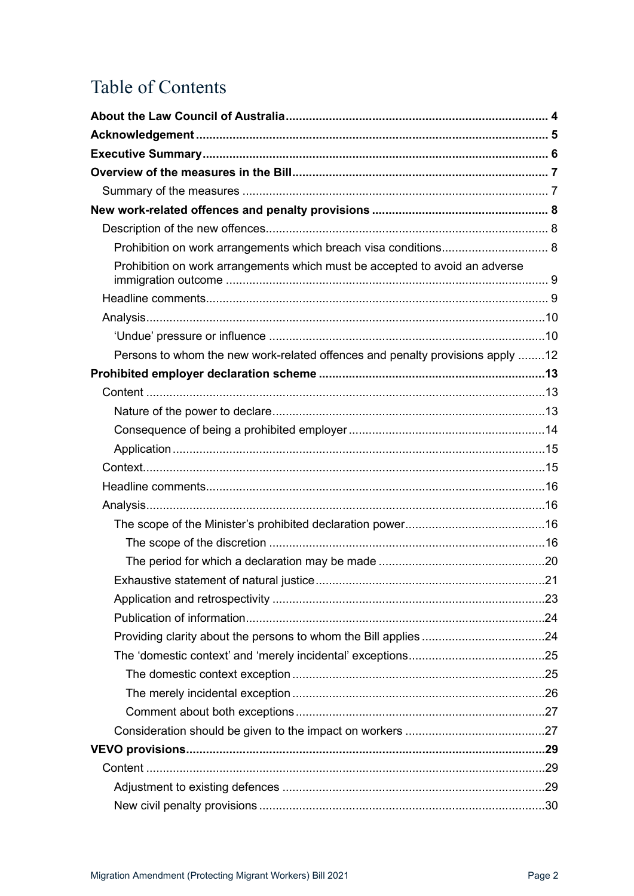# **Table of Contents**

| Prohibition on work arrangements which breach visa conditions 8               |  |
|-------------------------------------------------------------------------------|--|
| Prohibition on work arrangements which must be accepted to avoid an adverse   |  |
|                                                                               |  |
|                                                                               |  |
|                                                                               |  |
| Persons to whom the new work-related offences and penalty provisions apply 12 |  |
|                                                                               |  |
|                                                                               |  |
|                                                                               |  |
|                                                                               |  |
|                                                                               |  |
|                                                                               |  |
|                                                                               |  |
|                                                                               |  |
|                                                                               |  |
|                                                                               |  |
|                                                                               |  |
|                                                                               |  |
|                                                                               |  |
|                                                                               |  |
|                                                                               |  |
|                                                                               |  |
|                                                                               |  |
|                                                                               |  |
|                                                                               |  |
|                                                                               |  |
|                                                                               |  |
|                                                                               |  |
|                                                                               |  |
|                                                                               |  |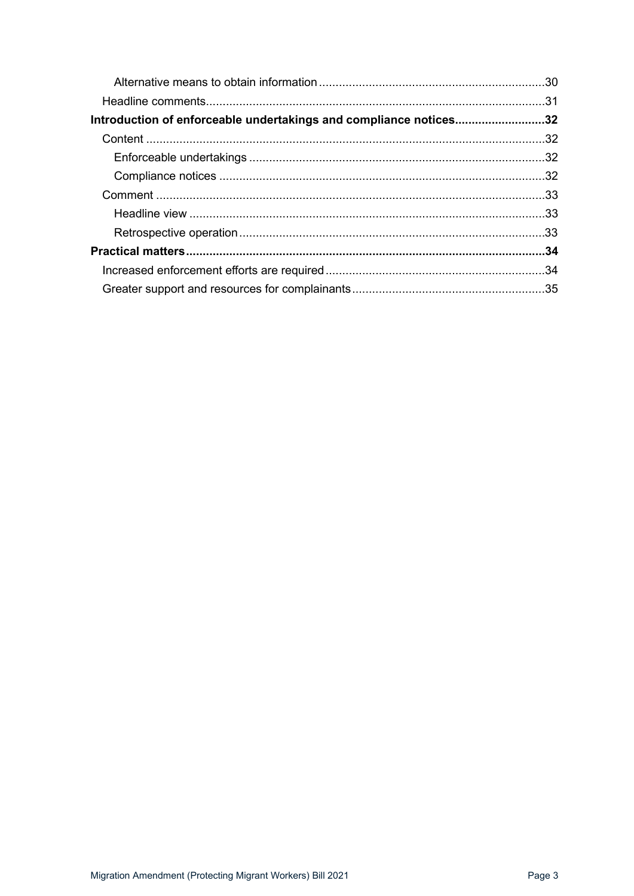| Introduction of enforceable undertakings and compliance notices32 |  |
|-------------------------------------------------------------------|--|
|                                                                   |  |
|                                                                   |  |
|                                                                   |  |
|                                                                   |  |
|                                                                   |  |
|                                                                   |  |
|                                                                   |  |
|                                                                   |  |
|                                                                   |  |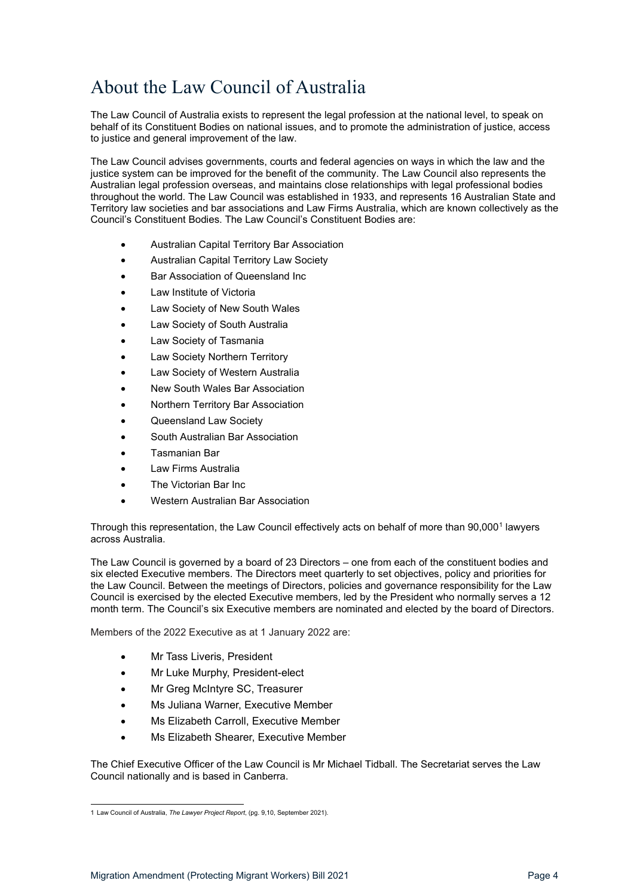# <span id="page-3-0"></span>About the Law Council of Australia

The Law Council of Australia exists to represent the legal profession at the national level, to speak on behalf of its Constituent Bodies on national issues, and to promote the administration of justice, access to justice and general improvement of the law.

The Law Council advises governments, courts and federal agencies on ways in which the law and the justice system can be improved for the benefit of the community. The Law Council also represents the Australian legal profession overseas, and maintains close relationships with legal professional bodies throughout the world. The Law Council was established in 1933, and represents 16 Australian State and Territory law societies and bar associations and Law Firms Australia, which are known collectively as the Council's Constituent Bodies. The Law Council's Constituent Bodies are:

- Australian Capital Territory Bar Association
- Australian Capital Territory Law Society
- Bar Association of Queensland Inc
- Law Institute of Victoria
- Law Society of New South Wales
- Law Society of South Australia
- Law Society of Tasmania
- Law Society Northern Territory
- Law Society of Western Australia
- New South Wales Bar Association
- Northern Territory Bar Association
- Queensland Law Society
- South Australian Bar Association
- Tasmanian Bar
- Law Firms Australia
- The Victorian Bar Inc.
- Western Australian Bar Association

Through this representation, the Law Council effectively acts on behalf of more than 90,000<sup>[1](#page-3-1)</sup> lawyers across Australia.

The Law Council is governed by a board of 23 Directors – one from each of the constituent bodies and six elected Executive members. The Directors meet quarterly to set objectives, policy and priorities for the Law Council. Between the meetings of Directors, policies and governance responsibility for the Law Council is exercised by the elected Executive members, led by the President who normally serves a 12 month term. The Council's six Executive members are nominated and elected by the board of Directors.

Members of the 2022 Executive as at 1 January 2022 are:

- Mr Tass Liveris, President
- Mr Luke Murphy, President-elect
- Mr Greg McIntyre SC, Treasurer
- Ms Juliana Warner, Executive Member
- Ms Elizabeth Carroll, Executive Member
- Ms Elizabeth Shearer, Executive Member

The Chief Executive Officer of the Law Council is Mr Michael Tidball. The Secretariat serves the Law Council nationally and is based in Canberra.

<span id="page-3-1"></span><sup>1</sup> Law Council of Australia, *The Lawyer Project Report*, (pg. 9,10, September 2021).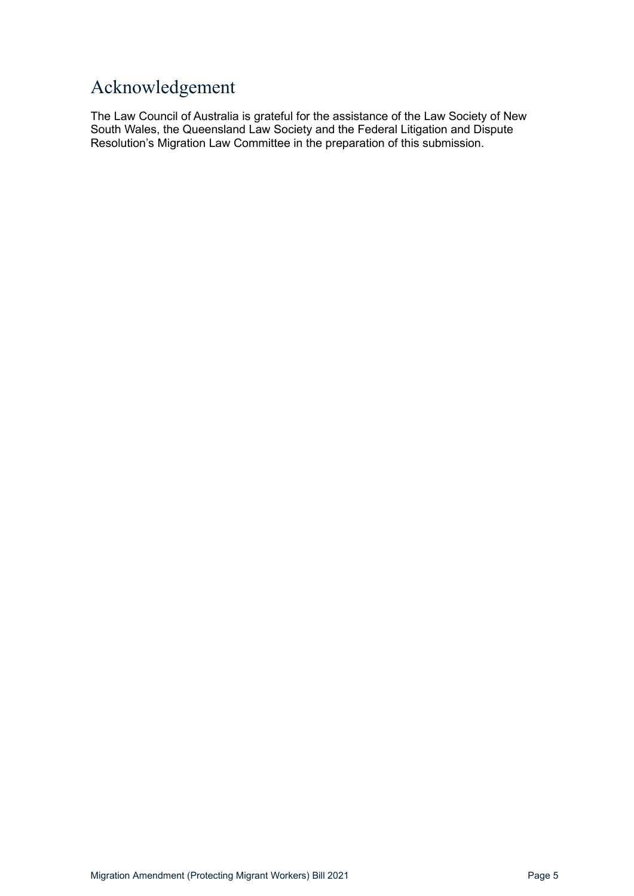# <span id="page-4-0"></span>Acknowledgement

The Law Council of Australia is grateful for the assistance of the Law Society of New South Wales, the Queensland Law Society and the Federal Litigation and Dispute Resolution's Migration Law Committee in the preparation of this submission.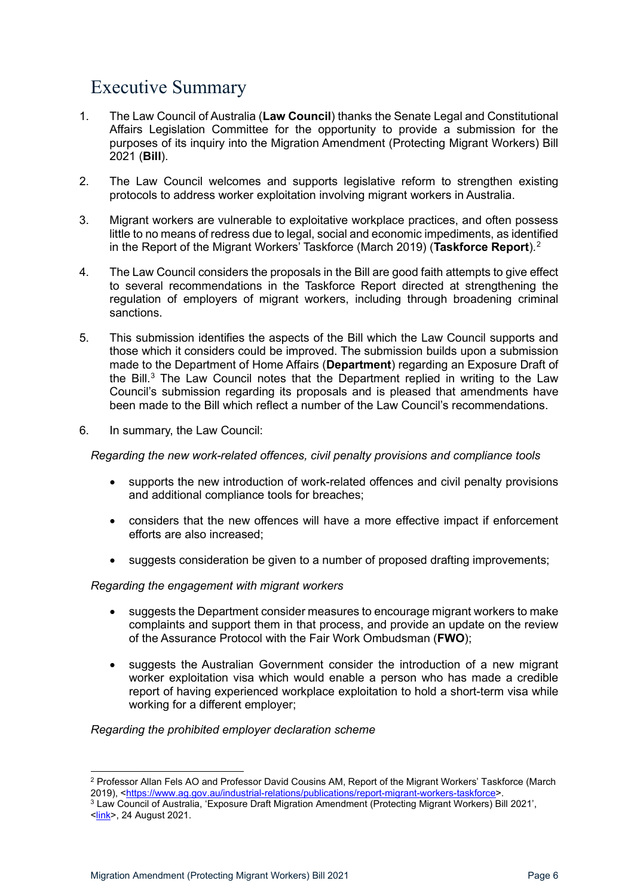# <span id="page-5-0"></span>Executive Summary

- 1. The Law Council of Australia (**Law Council**) thanks the Senate Legal and Constitutional Affairs Legislation Committee for the opportunity to provide a submission for the purposes of its inquiry into the Migration Amendment (Protecting Migrant Workers) Bill 2021 (**Bill**).
- 2. The Law Council welcomes and supports legislative reform to strengthen existing protocols to address worker exploitation involving migrant workers in Australia.
- 3. Migrant workers are vulnerable to exploitative workplace practices, and often possess little to no means of redress due to legal, social and economic impediments, as identified in the Report of the Migrant Workers' Taskforce (March 2019) (**Taskforce Report**).[2](#page-5-1)
- 4. The Law Council considers the proposals in the Bill are good faith attempts to give effect to several recommendations in the Taskforce Report directed at strengthening the regulation of employers of migrant workers, including through broadening criminal sanctions.
- 5. This submission identifies the aspects of the Bill which the Law Council supports and those which it considers could be improved. The submission builds upon a submission made to the Department of Home Affairs (**Department**) regarding an Exposure Draft of the Bill.<sup>[3](#page-5-2)</sup> The Law Council notes that the Department replied in writing to the Law Council's submission regarding its proposals and is pleased that amendments have been made to the Bill which reflect a number of the Law Council's recommendations.
- 6. In summary, the Law Council:

*Regarding the new work-related offences, civil penalty provisions and compliance tools*

- supports the new introduction of work-related offences and civil penalty provisions and additional compliance tools for breaches;
- considers that the new offences will have a more effective impact if enforcement efforts are also increased;
- suggests consideration be given to a number of proposed drafting improvements;

#### *Regarding the engagement with migrant workers*

- suggests the Department consider measures to encourage migrant workers to make complaints and support them in that process, and provide an update on the review of the Assurance Protocol with the Fair Work Ombudsman (**FWO**);
- suggests the Australian Government consider the introduction of a new migrant worker exploitation visa which would enable a person who has made a credible report of having experienced workplace exploitation to hold a short-term visa while working for a different employer;

#### *Regarding the prohibited employer declaration scheme*

<span id="page-5-1"></span><sup>2</sup> Professor Allan Fels AO and Professor David Cousins AM, Report of the Migrant Workers' Taskforce (March 2019), [<https://www.ag.gov.au/industrial-relations/publications/report-migrant-workers-taskforce>](https://www.ag.gov.au/industrial-relations/publications/report-migrant-workers-taskforce).

<span id="page-5-2"></span><sup>3</sup> Law Council of Australia, 'Exposure Draft Migration Amendment (Protecting Migrant Workers) Bill 2021', [<link>](https://www.lawcouncil.asn.au/publicassets/a3e0f18e-1206-ec11-9440-005056be13b5/4076%20-%20Exposure%20Draft%20Migration%20Amendment%20%20Protecting%20Migrant%20Workers%20%20Bill%202021.pdf), 24 August 2021.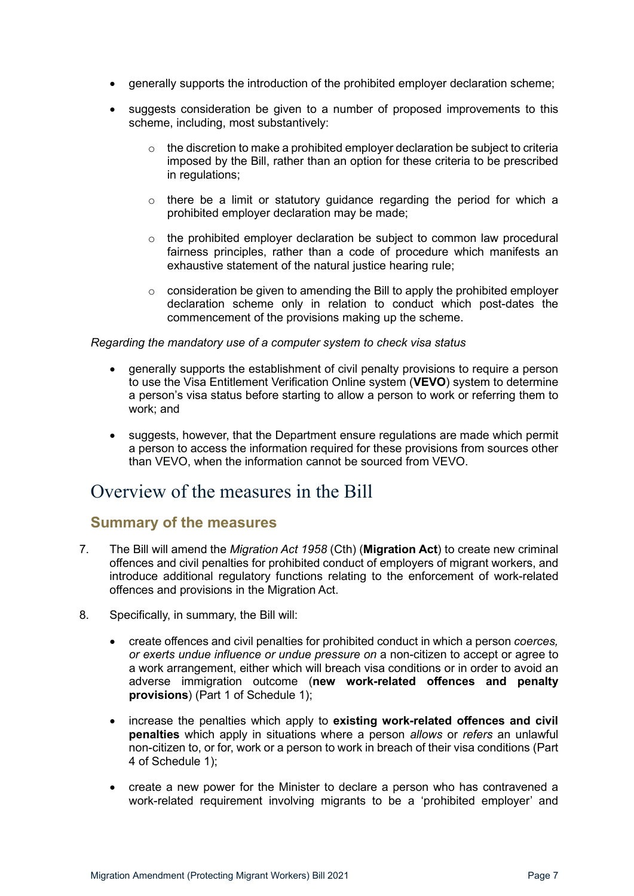- generally supports the introduction of the prohibited employer declaration scheme;
- suggests consideration be given to a number of proposed improvements to this scheme, including, most substantively:
	- $\circ$  the discretion to make a prohibited employer declaration be subject to criteria imposed by the Bill, rather than an option for these criteria to be prescribed in regulations;
	- $\circ$  there be a limit or statutory guidance regarding the period for which a prohibited employer declaration may be made;
	- $\circ$  the prohibited employer declaration be subject to common law procedural fairness principles, rather than a code of procedure which manifests an exhaustive statement of the natural justice hearing rule;
	- o consideration be given to amending the Bill to apply the prohibited employer declaration scheme only in relation to conduct which post-dates the commencement of the provisions making up the scheme.

#### *Regarding the mandatory use of a computer system to check visa status*

- generally supports the establishment of civil penalty provisions to require a person to use the Visa Entitlement Verification Online system (**VEVO**) system to determine a person's visa status before starting to allow a person to work or referring them to work; and
- suggests, however, that the Department ensure regulations are made which permit a person to access the information required for these provisions from sources other than VEVO, when the information cannot be sourced from VEVO.

# <span id="page-6-0"></span>Overview of the measures in the Bill

### <span id="page-6-1"></span>**Summary of the measures**

- 7. The Bill will amend the *Migration Act 1958* (Cth) (**Migration Act**) to create new criminal offences and civil penalties for prohibited conduct of employers of migrant workers, and introduce additional regulatory functions relating to the enforcement of work-related offences and provisions in the Migration Act.
- 8. Specifically, in summary, the Bill will:
	- create offences and civil penalties for prohibited conduct in which a person *coerces, or exerts undue influence or undue pressure on* a non-citizen to accept or agree to a work arrangement, either which will breach visa conditions or in order to avoid an adverse immigration outcome (**new work-related offences and penalty provisions**) (Part 1 of Schedule 1);
	- increase the penalties which apply to **existing work-related offences and civil penalties** which apply in situations where a person *allows* or *refers* an unlawful non-citizen to, or for, work or a person to work in breach of their visa conditions (Part 4 of Schedule 1);
	- create a new power for the Minister to declare a person who has contravened a work-related requirement involving migrants to be a 'prohibited employer' and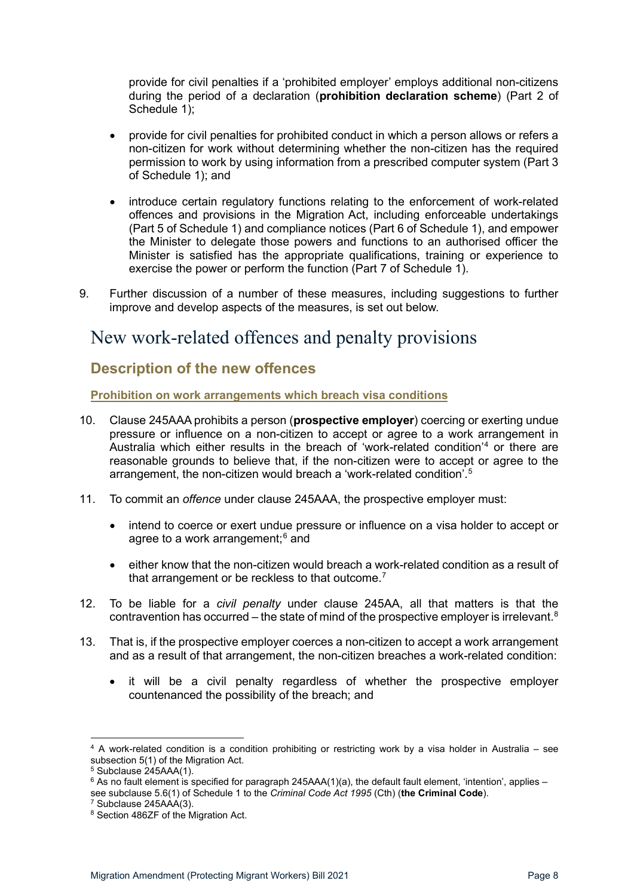provide for civil penalties if a 'prohibited employer' employs additional non-citizens during the period of a declaration (**prohibition declaration scheme**) (Part 2 of Schedule 1);

- provide for civil penalties for prohibited conduct in which a person allows or refers a non-citizen for work without determining whether the non-citizen has the required permission to work by using information from a prescribed computer system (Part 3 of Schedule 1); and
- introduce certain regulatory functions relating to the enforcement of work-related offences and provisions in the Migration Act, including enforceable undertakings (Part 5 of Schedule 1) and compliance notices (Part 6 of Schedule 1), and empower the Minister to delegate those powers and functions to an authorised officer the Minister is satisfied has the appropriate qualifications, training or experience to exercise the power or perform the function (Part 7 of Schedule 1).
- 9. Further discussion of a number of these measures, including suggestions to further improve and develop aspects of the measures, is set out below.

# <span id="page-7-0"></span>New work-related offences and penalty provisions

# <span id="page-7-1"></span>**Description of the new offences**

<span id="page-7-2"></span>**Prohibition on work arrangements which breach visa conditions**

- 10. Clause 245AAA prohibits a person (**prospective employer**) coercing or exerting undue pressure or influence on a non-citizen to accept or agree to a work arrangement in Australia which either results in the breach of 'work-related condition'[4](#page-7-3) or there are reasonable grounds to believe that, if the non-citizen were to accept or agree to the arrangement, the non-citizen would breach a 'work-related condition'.[5](#page-7-4)
- 11. To commit an *offence* under clause 245AAA, the prospective employer must:
	- intend to coerce or exert undue pressure or influence on a visa holder to accept or agree to a work arrangement; $6$  and
	- either know that the non-citizen would breach a work-related condition as a result of that arrangement or be reckless to that outcome.<sup>[7](#page-7-6)</sup>
- 12. To be liable for a *civil penalty* under clause 245AA, all that matters is that the contravention has occurred – the state of mind of the prospective employer is irrelevant. $^8$  $^8$
- 13. That is, if the prospective employer coerces a non-citizen to accept a work arrangement and as a result of that arrangement, the non-citizen breaches a work-related condition:
	- it will be a civil penalty regardless of whether the prospective employer countenanced the possibility of the breach; and

<span id="page-7-3"></span><sup>4</sup> A work-related condition is a condition prohibiting or restricting work by a visa holder in Australia – see subsection 5(1) of the Migration Act.

 $5$  Subclause  $245$ AAA(1).

<span id="page-7-5"></span><span id="page-7-4"></span> $6$  As no fault element is specified for paragraph 245AAA(1)(a), the default fault element, 'intention', applies – see subclause 5.6(1) of Schedule 1 to the *Criminal Code Act 1995* (Cth) (**the Criminal Code**).<br><sup>7</sup> Subclause 245AAA(3).

<span id="page-7-7"></span><span id="page-7-6"></span><sup>8</sup> Section 486ZF of the Migration Act.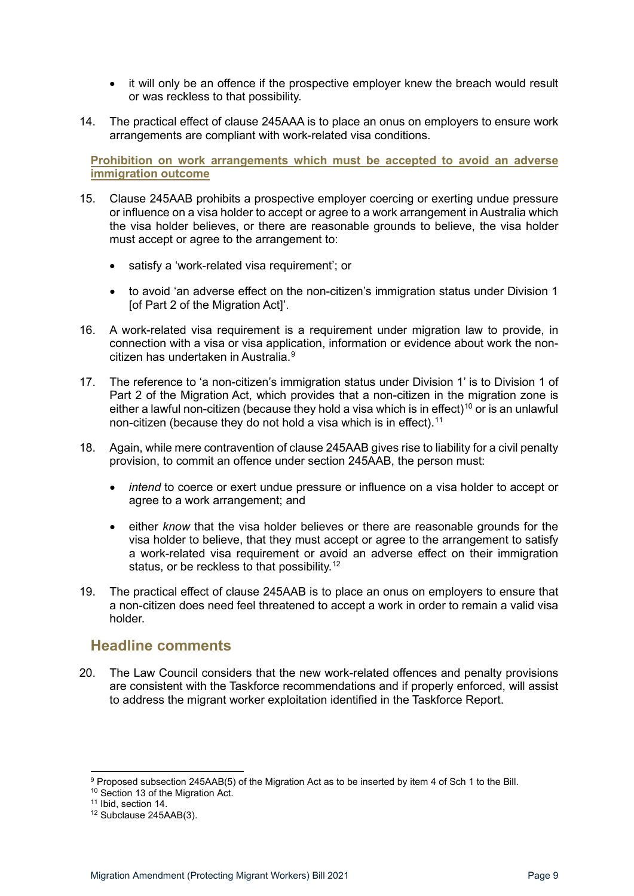- it will only be an offence if the prospective employer knew the breach would result or was reckless to that possibility.
- 14. The practical effect of clause 245AAA is to place an onus on employers to ensure work arrangements are compliant with work-related visa conditions.

<span id="page-8-0"></span>**Prohibition on work arrangements which must be accepted to avoid an adverse immigration outcome**

- 15. Clause 245AAB prohibits a prospective employer coercing or exerting undue pressure or influence on a visa holder to accept or agree to a work arrangement in Australia which the visa holder believes, or there are reasonable grounds to believe, the visa holder must accept or agree to the arrangement to:
	- satisfy a 'work-related visa requirement'; or
	- to avoid 'an adverse effect on the non-citizen's immigration status under Division 1 [of Part 2 of the Migration Act]'.
- 16. A work-related visa requirement is a requirement under migration law to provide, in connection with a visa or visa application, information or evidence about work the noncitizen has undertaken in Australia. [9](#page-8-2)
- 17. The reference to 'a non-citizen's immigration status under Division 1' is to Division 1 of Part 2 of the Migration Act, which provides that a non-citizen in the migration zone is either a lawful non-citizen (because they hold a visa which is in effect)<sup>[10](#page-8-3)</sup> or is an unlawful non-citizen (because they do not hold a visa which is in effect).<sup>11</sup>
- 18. Again, while mere contravention of clause 245AAB gives rise to liability for a civil penalty provision, to commit an offence under section 245AAB, the person must:
	- *intend* to coerce or exert undue pressure or influence on a visa holder to accept or agree to a work arrangement; and
	- either *know* that the visa holder believes or there are reasonable grounds for the visa holder to believe, that they must accept or agree to the arrangement to satisfy a work-related visa requirement or avoid an adverse effect on their immigration status, or be reckless to that possibility.<sup>[12](#page-8-5)</sup>
- 19. The practical effect of clause 245AAB is to place an onus on employers to ensure that a non-citizen does need feel threatened to accept a work in order to remain a valid visa holder.

#### <span id="page-8-1"></span>**Headline comments**

20. The Law Council considers that the new work-related offences and penalty provisions are consistent with the Taskforce recommendations and if properly enforced, will assist to address the migrant worker exploitation identified in the Taskforce Report.

<span id="page-8-3"></span><span id="page-8-2"></span><sup>&</sup>lt;sup>9</sup> Proposed subsection 245AAB(5) of the Migration Act as to be inserted by item 4 of Sch 1 to the Bill. <sup>10</sup> Section 13 of the Migration Act.<br><sup>11</sup> Ibid, section 14.

<span id="page-8-4"></span>

<span id="page-8-5"></span><sup>12</sup> Subclause 245AAB(3).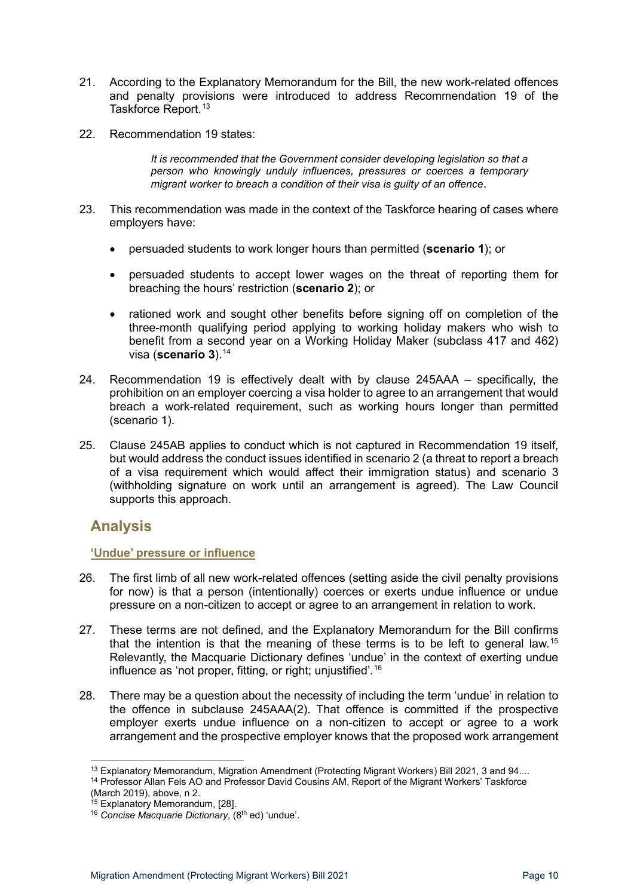- 21. According to the Explanatory Memorandum for the Bill, the new work-related offences and penalty provisions were introduced to address Recommendation 19 of the Taskforce Report. [13](#page-9-2)
- 22. Recommendation 19 states:

*It is recommended that the Government consider developing legislation so that a person who knowingly unduly influences, pressures or coerces a temporary migrant worker to breach a condition of their visa is guilty of an offence*.

- 23. This recommendation was made in the context of the Taskforce hearing of cases where employers have:
	- persuaded students to work longer hours than permitted (**scenario 1**); or
	- persuaded students to accept lower wages on the threat of reporting them for breaching the hours' restriction (**scenario 2**); or
	- rationed work and sought other benefits before signing off on completion of the three-month qualifying period applying to working holiday makers who wish to benefit from a second year on a Working Holiday Maker (subclass 417 and 462) visa (**scenario 3**). [14](#page-9-3)
- 24. Recommendation 19 is effectively dealt with by clause 245AAA specifically, the prohibition on an employer coercing a visa holder to agree to an arrangement that would breach a work-related requirement, such as working hours longer than permitted (scenario 1).
- 25. Clause 245AB applies to conduct which is not captured in Recommendation 19 itself, but would address the conduct issues identified in scenario 2 (a threat to report a breach of a visa requirement which would affect their immigration status) and scenario 3 (withholding signature on work until an arrangement is agreed). The Law Council supports this approach.

## <span id="page-9-0"></span>**Analysis**

#### <span id="page-9-1"></span>**'Undue' pressure or influence**

- 26. The first limb of all new work-related offences (setting aside the civil penalty provisions for now) is that a person (intentionally) coerces or exerts undue influence or undue pressure on a non-citizen to accept or agree to an arrangement in relation to work.
- 27. These terms are not defined, and the Explanatory Memorandum for the Bill confirms that the intention is that the meaning of these terms is to be left to general law.[15](#page-9-4) Relevantly, the Macquarie Dictionary defines 'undue' in the context of exerting undue influence as 'not proper, fitting, or right; unjustified'.[16](#page-9-5)
- 28. There may be a question about the necessity of including the term 'undue' in relation to the offence in subclause 245AAA(2). That offence is committed if the prospective employer exerts undue influence on a non-citizen to accept or agree to a work arrangement and the prospective employer knows that the proposed work arrangement

<span id="page-9-3"></span><span id="page-9-2"></span><sup>&</sup>lt;sup>13</sup> Explanatory Memorandum, Migration Amendment (Protecting Migrant Workers) Bill 2021, 3 and 94.... <sup>14</sup> Professor Allan Fels AO and Professor David Cousins AM, Report of the Migrant Workers' Taskforce (March 2019), abo

<span id="page-9-5"></span><span id="page-9-4"></span><sup>&</sup>lt;sup>15</sup> Explanatory Memorandum, [28].<br><sup>16</sup> Co*ncise Macquarie Dictionary*, (8<sup>th</sup> ed) 'undue'.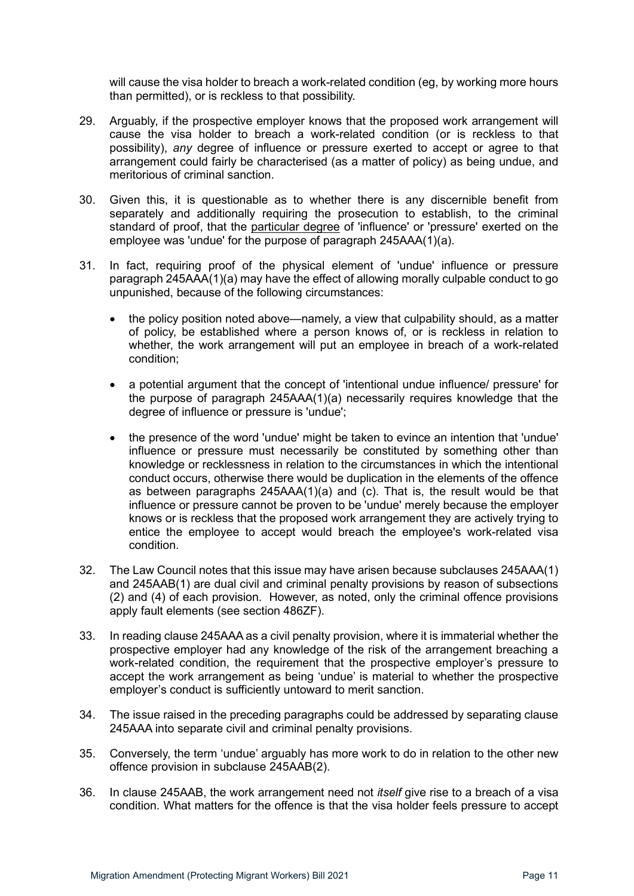will cause the visa holder to breach a work-related condition (eg, by working more hours than permitted), or is reckless to that possibility.

- 29. Arguably, if the prospective employer knows that the proposed work arrangement will cause the visa holder to breach a work-related condition (or is reckless to that possibility), *any* degree of influence or pressure exerted to accept or agree to that arrangement could fairly be characterised (as a matter of policy) as being undue, and meritorious of criminal sanction.
- 30. Given this, it is questionable as to whether there is any discernible benefit from separately and additionally requiring the prosecution to establish, to the criminal standard of proof, that the particular degree of 'influence' or 'pressure' exerted on the employee was 'undue' for the purpose of paragraph 245AAA(1)(a).
- 31. In fact, requiring proof of the physical element of 'undue' influence or pressure paragraph 245AAA(1)(a) may have the effect of allowing morally culpable conduct to go unpunished, because of the following circumstances:
	- the policy position noted above—namely, a view that culpability should, as a matter of policy, be established where a person knows of, or is reckless in relation to whether, the work arrangement will put an employee in breach of a work-related condition;
	- a potential argument that the concept of 'intentional undue influence/ pressure' for the purpose of paragraph 245AAA(1)(a) necessarily requires knowledge that the degree of influence or pressure is 'undue';
	- the presence of the word 'undue' might be taken to evince an intention that 'undue' influence or pressure must necessarily be constituted by something other than knowledge or recklessness in relation to the circumstances in which the intentional conduct occurs, otherwise there would be duplication in the elements of the offence as between paragraphs 245AAA(1)(a) and (c). That is, the result would be that influence or pressure cannot be proven to be 'undue' merely because the employer knows or is reckless that the proposed work arrangement they are actively trying to entice the employee to accept would breach the employee's work-related visa condition.
- 32. The Law Council notes that this issue may have arisen because subclauses 245AAA(1) and 245AAB(1) are dual civil and criminal penalty provisions by reason of subsections (2) and (4) of each provision. However, as noted, only the criminal offence provisions apply fault elements (see section 486ZF).
- 33. In reading clause 245AAA as a civil penalty provision, where it is immaterial whether the prospective employer had any knowledge of the risk of the arrangement breaching a work-related condition, the requirement that the prospective employer's pressure to accept the work arrangement as being 'undue' is material to whether the prospective employer's conduct is sufficiently untoward to merit sanction.
- 34. The issue raised in the preceding paragraphs could be addressed by separating clause 245AAA into separate civil and criminal penalty provisions.
- 35. Conversely, the term 'undue' arguably has more work to do in relation to the other new offence provision in subclause 245AAB(2).
- 36. In clause 245AAB, the work arrangement need not *itself* give rise to a breach of a visa condition. What matters for the offence is that the visa holder feels pressure to accept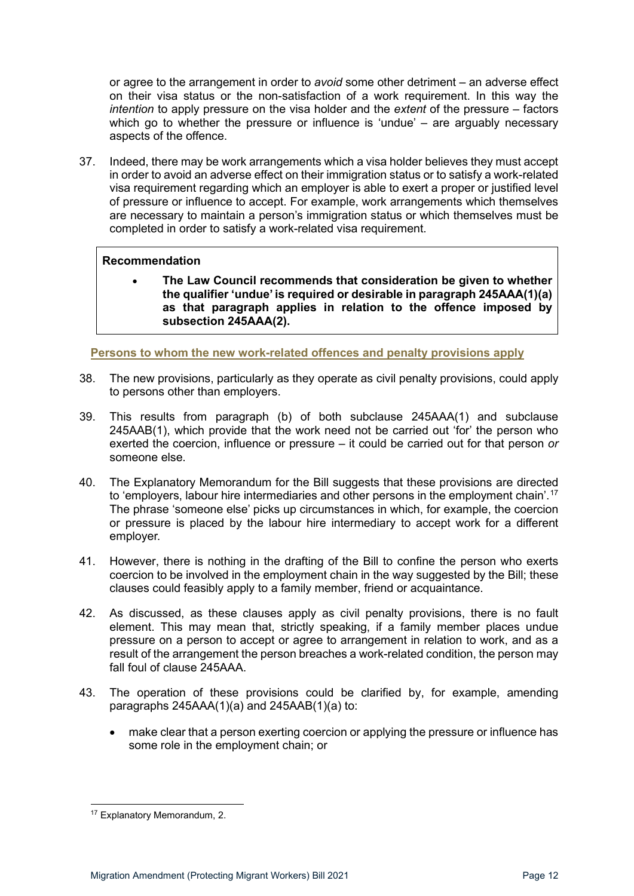or agree to the arrangement in order to *avoid* some other detriment – an adverse effect on their visa status or the non-satisfaction of a work requirement. In this way the *intention* to apply pressure on the visa holder and the *extent* of the pressure – factors which go to whether the pressure or influence is 'undue' – are arguably necessary aspects of the offence.

37. Indeed, there may be work arrangements which a visa holder believes they must accept in order to avoid an adverse effect on their immigration status or to satisfy a work-related visa requirement regarding which an employer is able to exert a proper or justified level of pressure or influence to accept. For example, work arrangements which themselves are necessary to maintain a person's immigration status or which themselves must be completed in order to satisfy a work-related visa requirement.

#### **Recommendation**

• **The Law Council recommends that consideration be given to whether the qualifier 'undue' is required or desirable in paragraph 245AAA(1)(a) as that paragraph applies in relation to the offence imposed by subsection 245AAA(2).** 

<span id="page-11-0"></span>**Persons to whom the new work-related offences and penalty provisions apply**

- 38. The new provisions, particularly as they operate as civil penalty provisions, could apply to persons other than employers.
- 39. This results from paragraph (b) of both subclause 245AAA(1) and subclause 245AAB(1), which provide that the work need not be carried out 'for' the person who exerted the coercion, influence or pressure – it could be carried out for that person *or* someone else.
- 40. The Explanatory Memorandum for the Bill suggests that these provisions are directed to 'employers, labour hire intermediaries and other persons in the employment chain'.<sup>[17](#page-11-1)</sup> The phrase 'someone else' picks up circumstances in which, for example, the coercion or pressure is placed by the labour hire intermediary to accept work for a different employer.
- 41. However, there is nothing in the drafting of the Bill to confine the person who exerts coercion to be involved in the employment chain in the way suggested by the Bill; these clauses could feasibly apply to a family member, friend or acquaintance.
- 42. As discussed, as these clauses apply as civil penalty provisions, there is no fault element. This may mean that, strictly speaking, if a family member places undue pressure on a person to accept or agree to arrangement in relation to work, and as a result of the arrangement the person breaches a work-related condition, the person may fall foul of clause 245AAA.
- 43. The operation of these provisions could be clarified by, for example, amending paragraphs 245AAA(1)(a) and 245AAB(1)(a) to:
	- make clear that a person exerting coercion or applying the pressure or influence has some role in the employment chain; or

<span id="page-11-1"></span><sup>17</sup> Explanatory Memorandum, 2.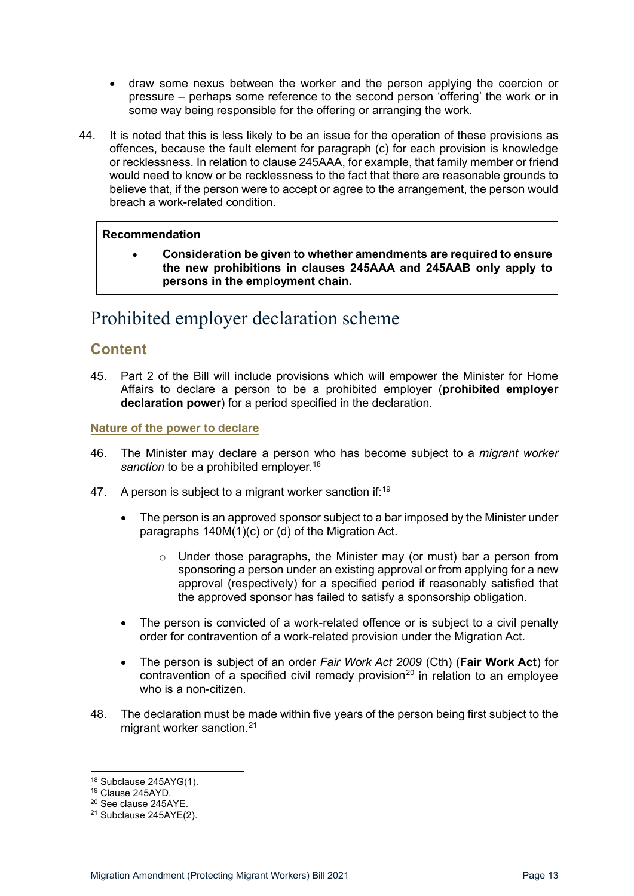- draw some nexus between the worker and the person applying the coercion or pressure – perhaps some reference to the second person 'offering' the work or in some way being responsible for the offering or arranging the work.
- 44. It is noted that this is less likely to be an issue for the operation of these provisions as offences, because the fault element for paragraph (c) for each provision is knowledge or recklessness. In relation to clause 245AAA, for example, that family member or friend would need to know or be recklessness to the fact that there are reasonable grounds to believe that, if the person were to accept or agree to the arrangement, the person would breach a work-related condition.

• **Consideration be given to whether amendments are required to ensure the new prohibitions in clauses 245AAA and 245AAB only apply to persons in the employment chain.** 

# <span id="page-12-0"></span>Prohibited employer declaration scheme

## <span id="page-12-1"></span>**Content**

45. Part 2 of the Bill will include provisions which will empower the Minister for Home Affairs to declare a person to be a prohibited employer (**prohibited employer declaration power**) for a period specified in the declaration.

#### <span id="page-12-2"></span>**Nature of the power to declare**

- 46. The Minister may declare a person who has become subject to a *migrant worker*  sanction to be a prohibited employer.<sup>[18](#page-12-3)</sup>
- 47. A person is subject to a migrant worker sanction if:<sup>[19](#page-12-4)</sup>
	- The person is an approved sponsor subject to a bar imposed by the Minister under paragraphs 140M(1)(c) or (d) of the Migration Act.
		- o Under those paragraphs, the Minister may (or must) bar a person from sponsoring a person under an existing approval or from applying for a new approval (respectively) for a specified period if reasonably satisfied that the approved sponsor has failed to satisfy a sponsorship obligation.
	- The person is convicted of a work-related offence or is subject to a civil penalty order for contravention of a work-related provision under the Migration Act.
	- The person is subject of an order *Fair Work Act 2009* (Cth) (**Fair Work Act**) for contravention of a specified civil remedy provision<sup>[20](#page-12-5)</sup> in relation to an employee who is a non-citizen.
- 48. The declaration must be made within five years of the person being first subject to the migrant worker sanction.<sup>[21](#page-12-6)</sup>

<span id="page-12-4"></span><span id="page-12-3"></span><sup>&</sup>lt;sup>18</sup> Subclause 245AYG(1).<br><sup>19</sup> Clause 245AYD.<br><sup>20</sup> See clause 245AYE.<br><sup>21</sup> Subclause 245AYE(2).

<span id="page-12-5"></span>

<span id="page-12-6"></span>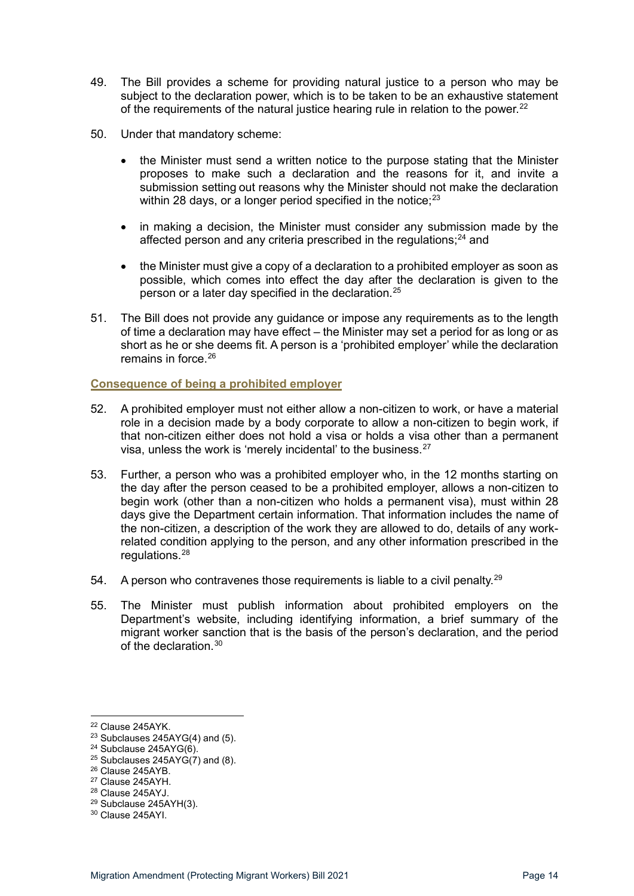- 49. The Bill provides a scheme for providing natural justice to a person who may be subject to the declaration power, which is to be taken to be an exhaustive statement of the requirements of the natural justice hearing rule in relation to the power.<sup>[22](#page-13-1)</sup>
- 50. Under that mandatory scheme:
	- the Minister must send a written notice to the purpose stating that the Minister proposes to make such a declaration and the reasons for it, and invite a submission setting out reasons why the Minister should not make the declaration within 28 days, or a longer period specified in the notice;  $23$
	- in making a decision, the Minister must consider any submission made by the affected person and any criteria prescribed in the regulations;<sup>[24](#page-13-3)</sup> and
	- the Minister must give a copy of a declaration to a prohibited employer as soon as possible, which comes into effect the day after the declaration is given to the person or a later day specified in the declaration.[25](#page-13-4)
- 51. The Bill does not provide any guidance or impose any requirements as to the length of time a declaration may have effect – the Minister may set a period for as long or as short as he or she deems fit. A person is a 'prohibited employer' while the declaration remains in force.<sup>[26](#page-13-5)</sup>

#### <span id="page-13-0"></span>**Consequence of being a prohibited employer**

- 52. A prohibited employer must not either allow a non-citizen to work, or have a material role in a decision made by a body corporate to allow a non-citizen to begin work, if that non-citizen either does not hold a visa or holds a visa other than a permanent visa, unless the work is 'merely incidental' to the business.<sup>[27](#page-13-6)</sup>
- 53. Further, a person who was a prohibited employer who, in the 12 months starting on the day after the person ceased to be a prohibited employer, allows a non-citizen to begin work (other than a non-citizen who holds a permanent visa), must within 28 days give the Department certain information. That information includes the name of the non-citizen, a description of the work they are allowed to do, details of any workrelated condition applying to the person, and any other information prescribed in the regulations.<sup>[28](#page-13-7)</sup>
- 54. A person who contravenes those requirements is liable to a civil penalty.<sup>[29](#page-13-8)</sup>
- 55. The Minister must publish information about prohibited employers on the Department's website, including identifying information, a brief summary of the migrant worker sanction that is the basis of the person's declaration, and the period of the declaration.[30](#page-13-9)

<span id="page-13-2"></span><span id="page-13-1"></span><sup>&</sup>lt;sup>22</sup> Clause 245AYK.<br><sup>23</sup> Subclauses 245AYG(4) and (5).<br><sup>24</sup> Subclause 245AYG(6).

<span id="page-13-4"></span><span id="page-13-3"></span> $^{25}$  Subclauses 245AYG( $7$ ) and (8).<br><sup>26</sup> Clause 245AYB.

<span id="page-13-7"></span><span id="page-13-6"></span><span id="page-13-5"></span><sup>&</sup>lt;sup>27</sup> Clause 245AYH.<br><sup>28</sup> Clause 245AYJ.<br><sup>29</sup> Subclause 245AYH(3).<br><sup>30</sup> Clause 245AYI.

<span id="page-13-9"></span><span id="page-13-8"></span>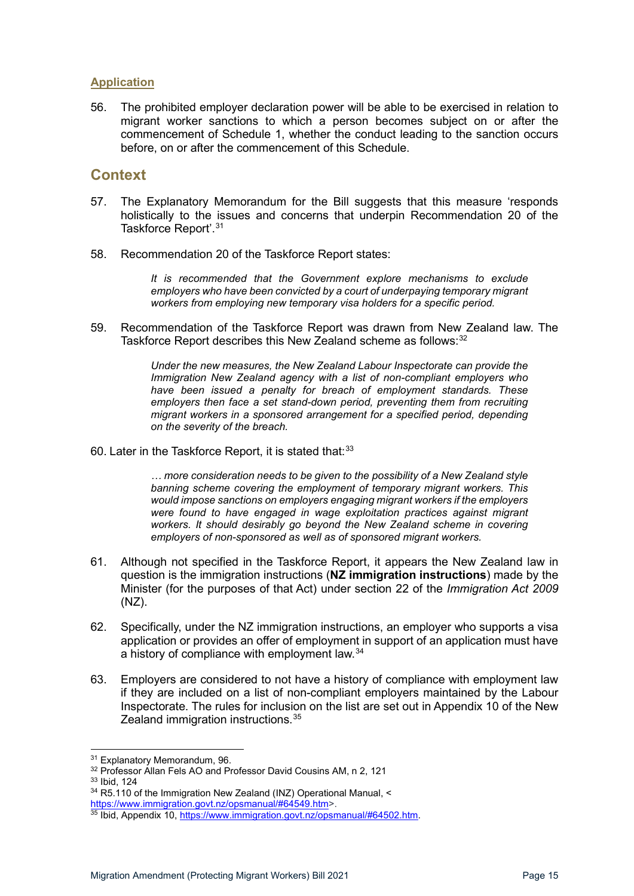#### <span id="page-14-0"></span>**Application**

56. The prohibited employer declaration power will be able to be exercised in relation to migrant worker sanctions to which a person becomes subject on or after the commencement of Schedule 1, whether the conduct leading to the sanction occurs before, on or after the commencement of this Schedule.

# <span id="page-14-1"></span>**Context**

- 57. The Explanatory Memorandum for the Bill suggests that this measure 'responds holistically to the issues and concerns that underpin Recommendation 20 of the Taskforce Report'. [31](#page-14-2)
- 58. Recommendation 20 of the Taskforce Report states:

*It is recommended that the Government explore mechanisms to exclude employers who have been convicted by a court of underpaying temporary migrant workers from employing new temporary visa holders for a specific period.* 

59. Recommendation of the Taskforce Report was drawn from New Zealand law. The Taskforce Report describes this New Zealand scheme as follows: [32](#page-14-3)

> *Under the new measures, the New Zealand Labour Inspectorate can provide the Immigration New Zealand agency with a list of non-compliant employers who have been issued a penalty for breach of employment standards. These employers then face a set stand-down period, preventing them from recruiting migrant workers in a sponsored arrangement for a specified period, depending on the severity of the breach.*

60. Later in the Taskforce Report, it is stated that:<sup>[33](#page-14-4)</sup>

*… more consideration needs to be given to the possibility of a New Zealand style banning scheme covering the employment of temporary migrant workers. This would impose sanctions on employers engaging migrant workers if the employers were found to have engaged in wage exploitation practices against migrant workers. It should desirably go beyond the New Zealand scheme in covering employers of non-sponsored as well as of sponsored migrant workers.*

- 61. Although not specified in the Taskforce Report, it appears the New Zealand law in question is the immigration instructions (**NZ immigration instructions**) made by the Minister (for the purposes of that Act) under section 22 of the *Immigration Act 2009*  (NZ).
- 62. Specifically, under the NZ immigration instructions, an employer who supports a visa application or provides an offer of employment in support of an application must have a history of compliance with employment law.<sup>[34](#page-14-5)</sup>
- 63. Employers are considered to not have a history of compliance with employment law if they are included on a list of non-compliant employers maintained by the Labour Inspectorate. The rules for inclusion on the list are set out in Appendix 10 of the New Zealand immigration instructions.<sup>[35](#page-14-6)</sup>

<span id="page-14-2"></span> $31$  Explanatory Memorandum, 96.<br> $32$  Professor Allan Fels AO and Professor David Cousins AM, n 2, 121

<span id="page-14-4"></span><span id="page-14-3"></span><sup>33</sup> Ibid, 124

 $34$  R5.110 of the Immigration New Zealand (INZ) Operational Manual,  $\leq$ 

<span id="page-14-5"></span>[https://www.immigration.govt.nz/opsmanual/#64549.htm>](https://www.immigration.govt.nz/opsmanual/#64549.htm).

<span id="page-14-6"></span><sup>35</sup> Ibid, Appendix 10, [https://www.immigration.govt.nz/opsmanual/#64502.htm.](https://www.immigration.govt.nz/opsmanual/#64502.htm)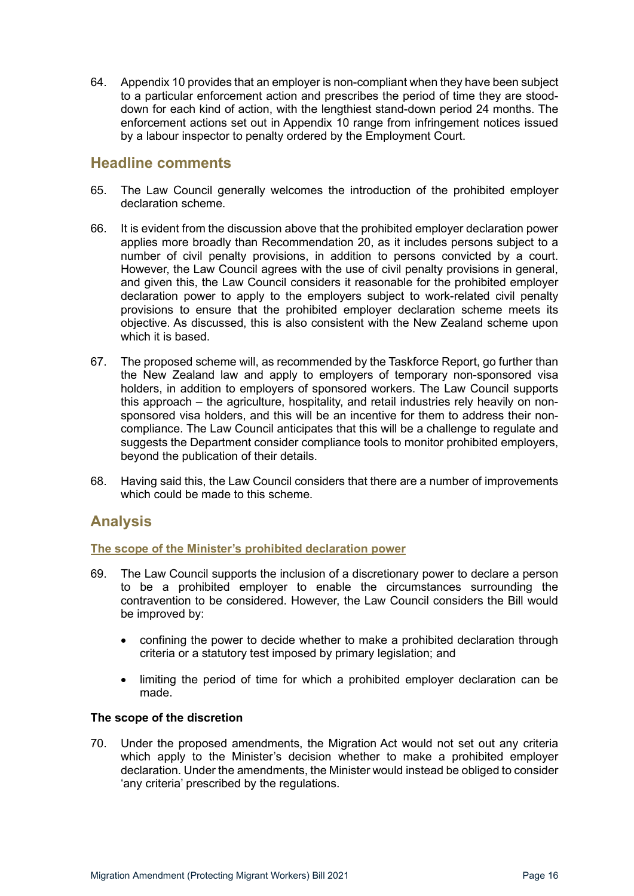64. Appendix 10 provides that an employer is non-compliant when they have been subject to a particular enforcement action and prescribes the period of time they are stooddown for each kind of action, with the lengthiest stand-down period 24 months. The enforcement actions set out in Appendix 10 range from infringement notices issued by a labour inspector to penalty ordered by the Employment Court.

### <span id="page-15-0"></span>**Headline comments**

- 65. The Law Council generally welcomes the introduction of the prohibited employer declaration scheme.
- 66. It is evident from the discussion above that the prohibited employer declaration power applies more broadly than Recommendation 20, as it includes persons subject to a number of civil penalty provisions, in addition to persons convicted by a court. However, the Law Council agrees with the use of civil penalty provisions in general, and given this, the Law Council considers it reasonable for the prohibited employer declaration power to apply to the employers subject to work-related civil penalty provisions to ensure that the prohibited employer declaration scheme meets its objective. As discussed, this is also consistent with the New Zealand scheme upon which it is based.
- 67. The proposed scheme will, as recommended by the Taskforce Report, go further than the New Zealand law and apply to employers of temporary non-sponsored visa holders, in addition to employers of sponsored workers. The Law Council supports this approach – the agriculture, hospitality, and retail industries rely heavily on nonsponsored visa holders, and this will be an incentive for them to address their noncompliance. The Law Council anticipates that this will be a challenge to regulate and suggests the Department consider compliance tools to monitor prohibited employers, beyond the publication of their details.
- 68. Having said this, the Law Council considers that there are a number of improvements which could be made to this scheme.

### <span id="page-15-1"></span>**Analysis**

#### <span id="page-15-2"></span>**The scope of the Minister's prohibited declaration power**

- 69. The Law Council supports the inclusion of a discretionary power to declare a person to be a prohibited employer to enable the circumstances surrounding the contravention to be considered. However, the Law Council considers the Bill would be improved by:
	- confining the power to decide whether to make a prohibited declaration through criteria or a statutory test imposed by primary legislation; and
	- limiting the period of time for which a prohibited employer declaration can be made.

#### <span id="page-15-3"></span>**The scope of the discretion**

70. Under the proposed amendments, the Migration Act would not set out any criteria which apply to the Minister's decision whether to make a prohibited employer declaration. Under the amendments, the Minister would instead be obliged to consider 'any criteria' prescribed by the regulations.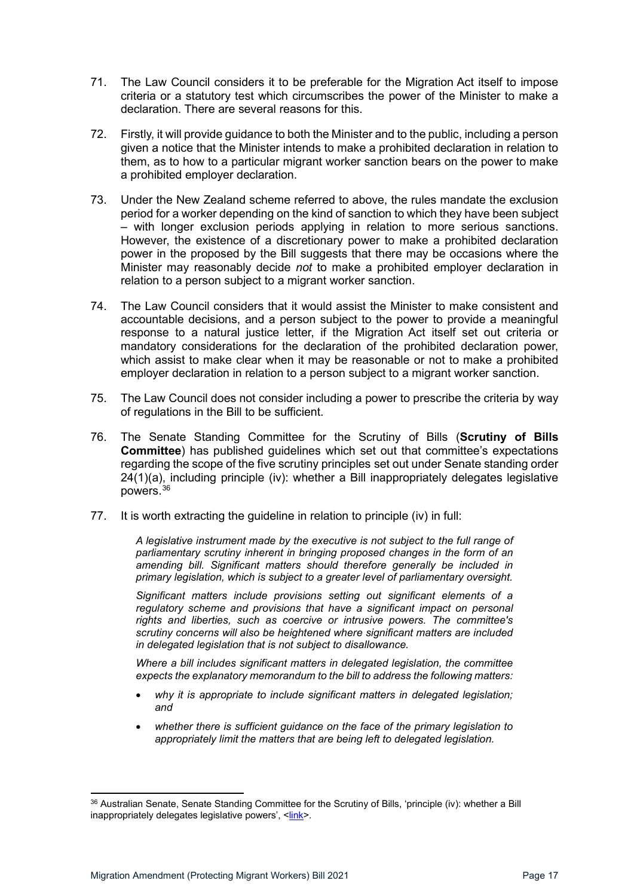- 71. The Law Council considers it to be preferable for the Migration Act itself to impose criteria or a statutory test which circumscribes the power of the Minister to make a declaration. There are several reasons for this.
- 72. Firstly, it will provide guidance to both the Minister and to the public, including a person given a notice that the Minister intends to make a prohibited declaration in relation to them, as to how to a particular migrant worker sanction bears on the power to make a prohibited employer declaration.
- 73. Under the New Zealand scheme referred to above, the rules mandate the exclusion period for a worker depending on the kind of sanction to which they have been subject – with longer exclusion periods applying in relation to more serious sanctions. However, the existence of a discretionary power to make a prohibited declaration power in the proposed by the Bill suggests that there may be occasions where the Minister may reasonably decide *not* to make a prohibited employer declaration in relation to a person subject to a migrant worker sanction.
- 74. The Law Council considers that it would assist the Minister to make consistent and accountable decisions, and a person subject to the power to provide a meaningful response to a natural justice letter, if the Migration Act itself set out criteria or mandatory considerations for the declaration of the prohibited declaration power, which assist to make clear when it may be reasonable or not to make a prohibited employer declaration in relation to a person subject to a migrant worker sanction.
- 75. The Law Council does not consider including a power to prescribe the criteria by way of regulations in the Bill to be sufficient.
- 76. The Senate Standing Committee for the Scrutiny of Bills (**Scrutiny of Bills Committee**) has published guidelines which set out that committee's expectations regarding the scope of the five scrutiny principles set out under Senate standing order 24(1)(a), including principle (iv): whether a Bill inappropriately delegates legislative powers.[36](#page-16-0)
- 77. It is worth extracting the guideline in relation to principle (iv) in full:

*A legislative instrument made by the executive is not subject to the full range of parliamentary scrutiny inherent in bringing proposed changes in the form of an amending bill. Significant matters should therefore generally be included in primary legislation, which is subject to a greater level of parliamentary oversight.* 

*Significant matters include provisions setting out significant elements of a regulatory scheme and provisions that have a significant impact on personal rights and liberties, such as coercive or intrusive powers. The committee's scrutiny concerns will also be heightened where significant matters are included in delegated legislation that is not subject to disallowance.* 

*Where a bill includes significant matters in delegated legislation, the committee expects the explanatory memorandum to the bill to address the following matters:* 

- *why it is appropriate to include significant matters in delegated legislation; and*
- *whether there is sufficient guidance on the face of the primary legislation to appropriately limit the matters that are being left to delegated legislation.*

<span id="page-16-0"></span><sup>&</sup>lt;sup>36</sup> Australian Senate, Senate Standing Committee for the Scrutiny of Bills, 'principle (iv): whether a Bill inappropriately delegates legislative powers', [<link>](https://www.aph.gov.au/-/media/Committees/Senate/committee/scrutiny/Guidelines/Principle_iv_guideline__inappropriate_delegation_of_legislative_powers.pdf?la=en&hash=B78277992E1A53189D2414B26EDB2E24FF8BBEB5).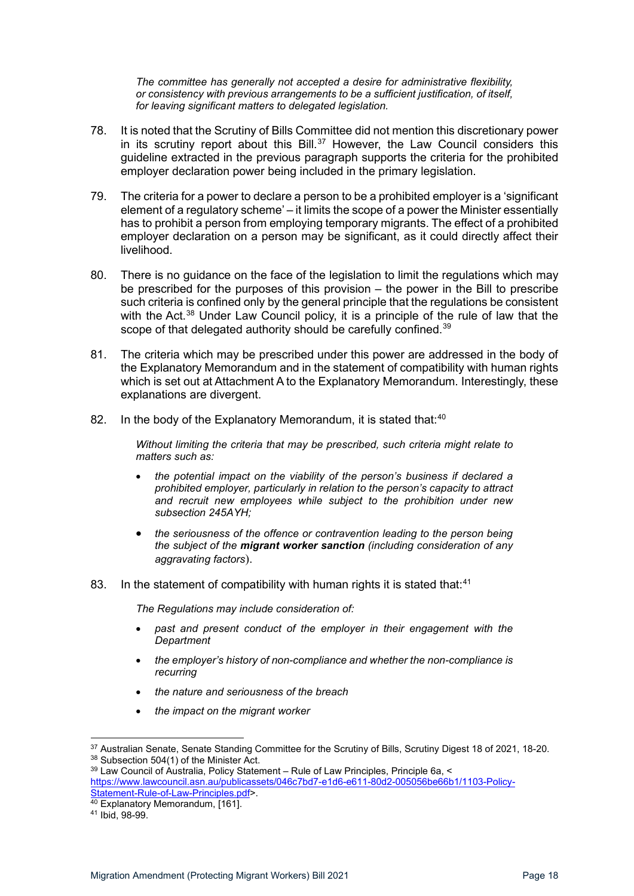*The committee has generally not accepted a desire for administrative flexibility, or consistency with previous arrangements to be a sufficient justification, of itself, for leaving significant matters to delegated legislation.*

- 78. It is noted that the Scrutiny of Bills Committee did not mention this discretionary power in its scrutiny report about this Bill. $37$  However, the Law Council considers this guideline extracted in the previous paragraph supports the criteria for the prohibited employer declaration power being included in the primary legislation.
- 79. The criteria for a power to declare a person to be a prohibited employer is a 'significant element of a regulatory scheme' – it limits the scope of a power the Minister essentially has to prohibit a person from employing temporary migrants. The effect of a prohibited employer declaration on a person may be significant, as it could directly affect their livelihood.
- 80. There is no guidance on the face of the legislation to limit the regulations which may be prescribed for the purposes of this provision – the power in the Bill to prescribe such criteria is confined only by the general principle that the regulations be consistent with the Act.<sup>[38](#page-17-1)</sup> Under Law Council policy, it is a principle of the rule of law that the scope of that delegated authority should be carefully confined.<sup>[39](#page-17-2)</sup>
- 81. The criteria which may be prescribed under this power are addressed in the body of the Explanatory Memorandum and in the statement of compatibility with human rights which is set out at Attachment A to the Explanatory Memorandum. Interestingly, these explanations are divergent.
- 82. In the body of the Explanatory Memorandum, it is stated that: $40$

*Without limiting the criteria that may be prescribed, such criteria might relate to matters such as:* 

- *the potential impact on the viability of the person's business if declared a prohibited employer, particularly in relation to the person's capacity to attract and recruit new employees while subject to the prohibition under new subsection 245AYH;*
- *the seriousness of the offence or contravention leading to the person being the subject of the migrant worker sanction (including consideration of any aggravating factors*).
- 83. In the statement of compatibility with human rights it is stated that:<sup>[41](#page-17-4)</sup>

*The Regulations may include consideration of:* 

- *past and present conduct of the employer in their engagement with the Department*
- *the employer's history of non-compliance and whether the non-compliance is recurring*
- *the nature and seriousness of the breach*
- *the impact on the migrant worker*

<span id="page-17-1"></span><span id="page-17-0"></span><sup>&</sup>lt;sup>37</sup> Australian Senate, Senate Standing Committee for the Scrutiny of Bills, Scrutiny Digest 18 of 2021, 18-20.<br><sup>38</sup> Subsection 504(1) of the Minister Act.<br><sup>39</sup> Law Council of Australia, Policy Statement – Rule of Law Prin

<span id="page-17-2"></span>[https://www.lawcouncil.asn.au/publicassets/046c7bd7-e1d6-e611-80d2-005056be66b1/1103-Policy-](https://www.lawcouncil.asn.au/publicassets/046c7bd7-e1d6-e611-80d2-005056be66b1/1103-Policy-Statement-Rule-of-Law-Principles.pdf)[Statement-Rule-of-Law-Principles.pdf>](https://www.lawcouncil.asn.au/publicassets/046c7bd7-e1d6-e611-80d2-005056be66b1/1103-Policy-Statement-Rule-of-Law-Principles.pdf).

<span id="page-17-4"></span><span id="page-17-3"></span> $\frac{40}{40}$  Explanatory Memorandum, [161].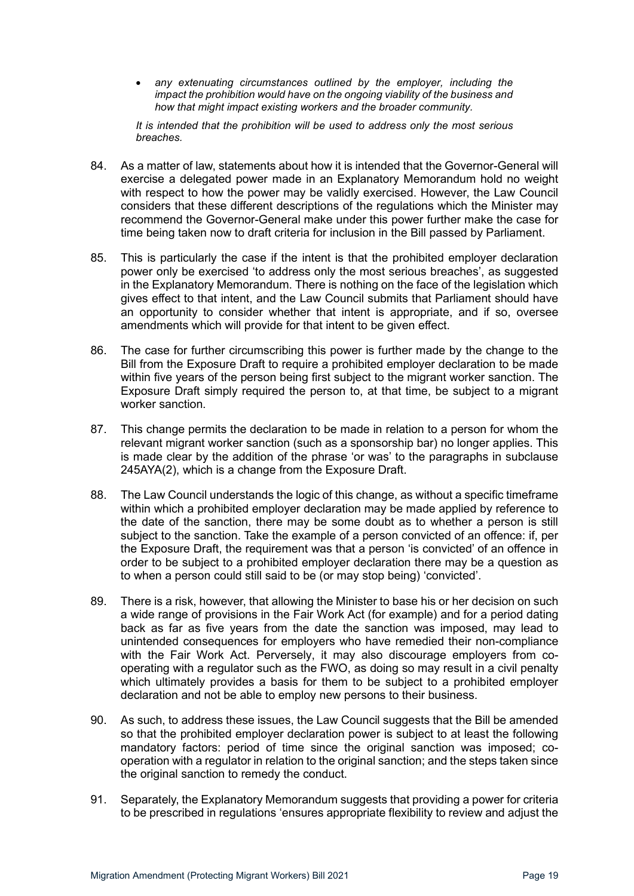• *any extenuating circumstances outlined by the employer, including the impact the prohibition would have on the ongoing viability of the business and how that might impact existing workers and the broader community.* 

*It is intended that the prohibition will be used to address only the most serious breaches.*

- 84. As a matter of law, statements about how it is intended that the Governor-General will exercise a delegated power made in an Explanatory Memorandum hold no weight with respect to how the power may be validly exercised. However, the Law Council considers that these different descriptions of the regulations which the Minister may recommend the Governor-General make under this power further make the case for time being taken now to draft criteria for inclusion in the Bill passed by Parliament.
- 85. This is particularly the case if the intent is that the prohibited employer declaration power only be exercised 'to address only the most serious breaches', as suggested in the Explanatory Memorandum. There is nothing on the face of the legislation which gives effect to that intent, and the Law Council submits that Parliament should have an opportunity to consider whether that intent is appropriate, and if so, oversee amendments which will provide for that intent to be given effect.
- 86. The case for further circumscribing this power is further made by the change to the Bill from the Exposure Draft to require a prohibited employer declaration to be made within five years of the person being first subject to the migrant worker sanction. The Exposure Draft simply required the person to, at that time, be subject to a migrant worker sanction.
- 87. This change permits the declaration to be made in relation to a person for whom the relevant migrant worker sanction (such as a sponsorship bar) no longer applies. This is made clear by the addition of the phrase 'or was' to the paragraphs in subclause 245AYA(2), which is a change from the Exposure Draft.
- 88. The Law Council understands the logic of this change, as without a specific timeframe within which a prohibited employer declaration may be made applied by reference to the date of the sanction, there may be some doubt as to whether a person is still subject to the sanction. Take the example of a person convicted of an offence: if, per the Exposure Draft, the requirement was that a person 'is convicted' of an offence in order to be subject to a prohibited employer declaration there may be a question as to when a person could still said to be (or may stop being) 'convicted'.
- 89. There is a risk, however, that allowing the Minister to base his or her decision on such a wide range of provisions in the Fair Work Act (for example) and for a period dating back as far as five years from the date the sanction was imposed, may lead to unintended consequences for employers who have remedied their non-compliance with the Fair Work Act. Perversely, it may also discourage employers from cooperating with a regulator such as the FWO, as doing so may result in a civil penalty which ultimately provides a basis for them to be subject to a prohibited employer declaration and not be able to employ new persons to their business.
- 90. As such, to address these issues, the Law Council suggests that the Bill be amended so that the prohibited employer declaration power is subject to at least the following mandatory factors: period of time since the original sanction was imposed; cooperation with a regulator in relation to the original sanction; and the steps taken since the original sanction to remedy the conduct.
- 91. Separately, the Explanatory Memorandum suggests that providing a power for criteria to be prescribed in regulations 'ensures appropriate flexibility to review and adjust the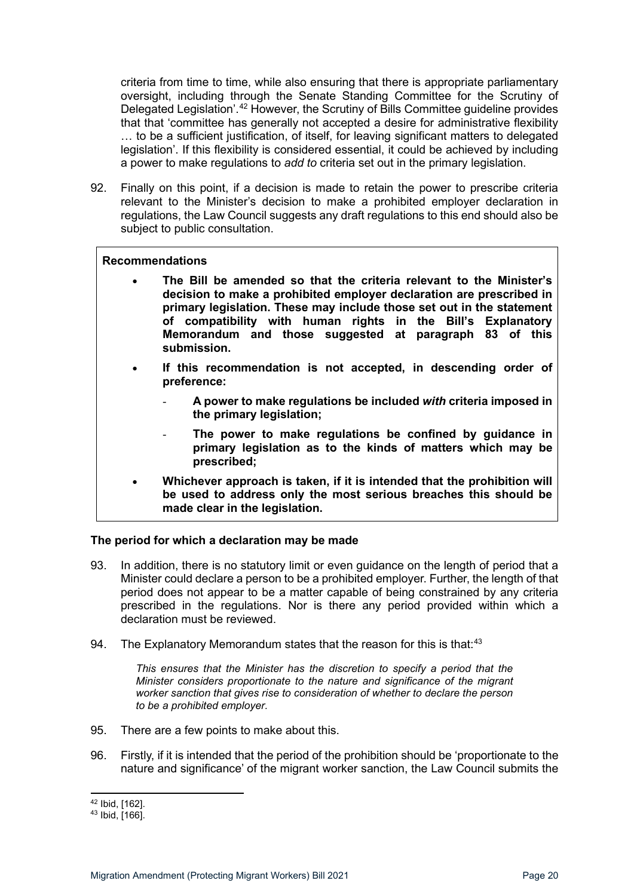criteria from time to time, while also ensuring that there is appropriate parliamentary oversight, including through the Senate Standing Committee for the Scrutiny of Delegated Legislation'.[42](#page-19-1) However, the Scrutiny of Bills Committee guideline provides that that 'committee has generally not accepted a desire for administrative flexibility … to be a sufficient justification, of itself, for leaving significant matters to delegated legislation'. If this flexibility is considered essential, it could be achieved by including a power to make regulations to *add to* criteria set out in the primary legislation.

92. Finally on this point, if a decision is made to retain the power to prescribe criteria relevant to the Minister's decision to make a prohibited employer declaration in regulations, the Law Council suggests any draft regulations to this end should also be subject to public consultation.

#### **Recommendations**

- **The Bill be amended so that the criteria relevant to the Minister's decision to make a prohibited employer declaration are prescribed in primary legislation. These may include those set out in the statement of compatibility with human rights in the Bill's Explanatory Memorandum and those suggested at paragraph 83 of this submission.**
- **If this recommendation is not accepted, in descending order of preference:**
	- **A power to make regulations be included** *with* **criteria imposed in the primary legislation;**
	- The power to make regulations be confined by guidance in **primary legislation as to the kinds of matters which may be prescribed;**
- **Whichever approach is taken, if it is intended that the prohibition will be used to address only the most serious breaches this should be made clear in the legislation.**

#### <span id="page-19-0"></span>**The period for which a declaration may be made**

- 93. In addition, there is no statutory limit or even guidance on the length of period that a Minister could declare a person to be a prohibited employer. Further, the length of that period does not appear to be a matter capable of being constrained by any criteria prescribed in the regulations. Nor is there any period provided within which a declaration must be reviewed.
- 94. The Explanatory Memorandum states that the reason for this is that:<sup>[43](#page-19-2)</sup>

*This ensures that the Minister has the discretion to specify a period that the Minister considers proportionate to the nature and significance of the migrant worker sanction that gives rise to consideration of whether to declare the person to be a prohibited employer.*

- 95. There are a few points to make about this.
- 96. Firstly, if it is intended that the period of the prohibition should be 'proportionate to the nature and significance' of the migrant worker sanction, the Law Council submits the

<span id="page-19-2"></span><span id="page-19-1"></span> $42$  Ibid, [162].<br> $43$  Ibid, [166].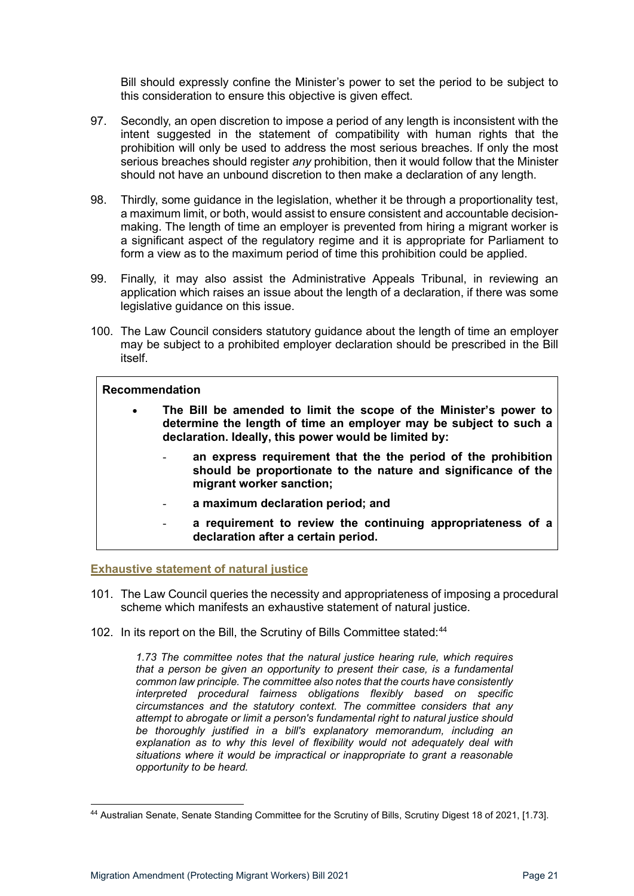Bill should expressly confine the Minister's power to set the period to be subject to this consideration to ensure this objective is given effect.

- 97. Secondly, an open discretion to impose a period of any length is inconsistent with the intent suggested in the statement of compatibility with human rights that the prohibition will only be used to address the most serious breaches. If only the most serious breaches should register *any* prohibition, then it would follow that the Minister should not have an unbound discretion to then make a declaration of any length.
- 98. Thirdly, some guidance in the legislation, whether it be through a proportionality test, a maximum limit, or both, would assist to ensure consistent and accountable decisionmaking. The length of time an employer is prevented from hiring a migrant worker is a significant aspect of the regulatory regime and it is appropriate for Parliament to form a view as to the maximum period of time this prohibition could be applied.
- 99. Finally, it may also assist the Administrative Appeals Tribunal, in reviewing an application which raises an issue about the length of a declaration, if there was some legislative guidance on this issue.
- 100. The Law Council considers statutory guidance about the length of time an employer may be subject to a prohibited employer declaration should be prescribed in the Bill itself.

#### **Recommendation**

- **The Bill be amended to limit the scope of the Minister's power to determine the length of time an employer may be subject to such a declaration. Ideally, this power would be limited by:** 
	- an express requirement that the the period of the prohibition **should be proportionate to the nature and significance of the migrant worker sanction;**
	- **a maximum declaration period; and**
	- a requirement to review the continuing appropriateness of a **declaration after a certain period.**

<span id="page-20-0"></span>**Exhaustive statement of natural justice**

- 101. The Law Council queries the necessity and appropriateness of imposing a procedural scheme which manifests an exhaustive statement of natural justice.
- 102. In its report on the Bill, the Scrutiny of Bills Committee stated: [44](#page-20-1)

*1.73 The committee notes that the natural justice hearing rule, which requires that a person be given an opportunity to present their case, is a fundamental common law principle. The committee also notes that the courts have consistently interpreted procedural fairness obligations flexibly based on specific circumstances and the statutory context. The committee considers that any attempt to abrogate or limit a person's fundamental right to natural justice should be thoroughly justified in a bill's explanatory memorandum, including an explanation as to why this level of flexibility would not adequately deal with situations where it would be impractical or inappropriate to grant a reasonable opportunity to be heard.*

<span id="page-20-1"></span><sup>44</sup> Australian Senate, Senate Standing Committee for the Scrutiny of Bills, Scrutiny Digest 18 of 2021, [1.73].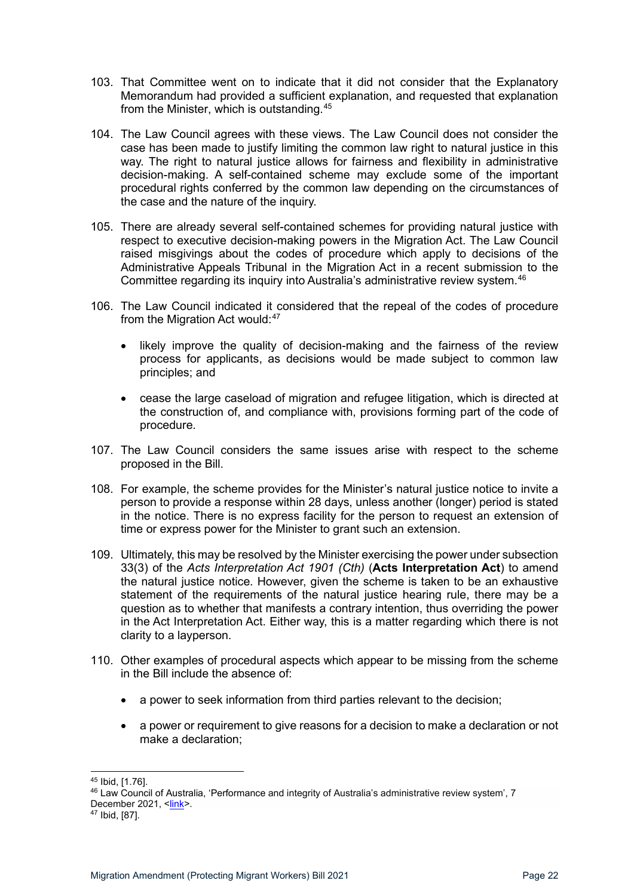- 103. That Committee went on to indicate that it did not consider that the Explanatory Memorandum had provided a sufficient explanation, and requested that explanation from the Minister, which is outstanding.[45](#page-21-0)
- 104. The Law Council agrees with these views. The Law Council does not consider the case has been made to justify limiting the common law right to natural justice in this way. The right to natural justice allows for fairness and flexibility in administrative decision-making. A self-contained scheme may exclude some of the important procedural rights conferred by the common law depending on the circumstances of the case and the nature of the inquiry.
- 105. There are already several self-contained schemes for providing natural justice with respect to executive decision-making powers in the Migration Act. The Law Council raised misgivings about the codes of procedure which apply to decisions of the Administrative Appeals Tribunal in the Migration Act in a recent submission to the Committee regarding its inquiry into Australia's administrative review system.[46](#page-21-1)
- 106. The Law Council indicated it considered that the repeal of the codes of procedure from the Migration Act would: $47$ 
	- likely improve the quality of decision-making and the fairness of the review process for applicants, as decisions would be made subject to common law principles; and
	- cease the large caseload of migration and refugee litigation, which is directed at the construction of, and compliance with, provisions forming part of the code of procedure.
- 107. The Law Council considers the same issues arise with respect to the scheme proposed in the Bill.
- 108. For example, the scheme provides for the Minister's natural justice notice to invite a person to provide a response within 28 days, unless another (longer) period is stated in the notice. There is no express facility for the person to request an extension of time or express power for the Minister to grant such an extension.
- 109. Ultimately, this may be resolved by the Minister exercising the power under subsection 33(3) of the *Acts Interpretation Act 1901 (Cth)* (**Acts Interpretation Act**) to amend the natural justice notice. However, given the scheme is taken to be an exhaustive statement of the requirements of the natural justice hearing rule, there may be a question as to whether that manifests a contrary intention, thus overriding the power in the Act Interpretation Act. Either way, this is a matter regarding which there is not clarity to a layperson.
- 110. Other examples of procedural aspects which appear to be missing from the scheme in the Bill include the absence of:
	- a power to seek information from third parties relevant to the decision;
	- a power or requirement to give reasons for a decision to make a declaration or not make a declaration;

<sup>45</sup> Ibid, [1.76].

<span id="page-21-1"></span><span id="page-21-0"></span><sup>46</sup> Law Council of Australia, 'Performance and integrity of Australia's administrative review system', 7 December 2021, <<u>link</u>>.<br><sup>47</sup> Ibid, [87].

<span id="page-21-2"></span>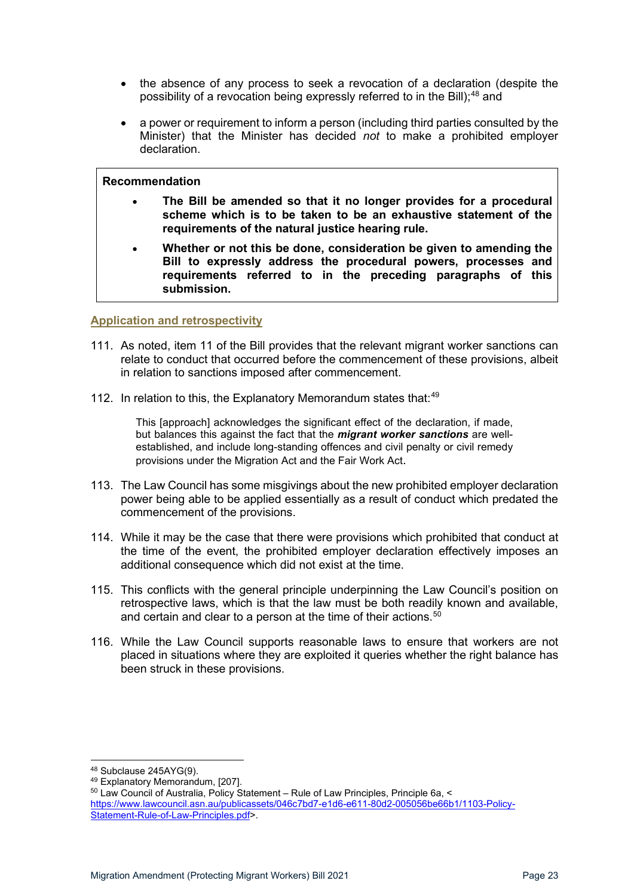- the absence of any process to seek a revocation of a declaration (despite the possibility of a revocation being expressly referred to in the Bill);<sup>[48](#page-22-1)</sup> and
- a power or requirement to inform a person (including third parties consulted by the Minister) that the Minister has decided *not* to make a prohibited employer declaration.

- **The Bill be amended so that it no longer provides for a procedural scheme which is to be taken to be an exhaustive statement of the requirements of the natural justice hearing rule.**
- **Whether or not this be done, consideration be given to amending the Bill to expressly address the procedural powers, processes and requirements referred to in the preceding paragraphs of this submission.**

#### <span id="page-22-0"></span>**Application and retrospectivity**

- 111. As noted, item 11 of the Bill provides that the relevant migrant worker sanctions can relate to conduct that occurred before the commencement of these provisions, albeit in relation to sanctions imposed after commencement.
- 112. In relation to this, the Explanatory Memorandum states that: $49$

This [approach] acknowledges the significant effect of the declaration, if made, but balances this against the fact that the *migrant worker sanctions* are wellestablished, and include long-standing offences and civil penalty or civil remedy provisions under the Migration Act and the Fair Work Act.

- 113. The Law Council has some misgivings about the new prohibited employer declaration power being able to be applied essentially as a result of conduct which predated the commencement of the provisions.
- 114. While it may be the case that there were provisions which prohibited that conduct at the time of the event, the prohibited employer declaration effectively imposes an additional consequence which did not exist at the time.
- 115. This conflicts with the general principle underpinning the Law Council's position on retrospective laws, which is that the law must be both readily known and available, and certain and clear to a person at the time of their actions. $^{\rm 50}$  $^{\rm 50}$  $^{\rm 50}$
- 116. While the Law Council supports reasonable laws to ensure that workers are not placed in situations where they are exploited it queries whether the right balance has been struck in these provisions.

<span id="page-22-1"></span> $48$  Subclause 245AYG(9).<br> $49$  Explanatory Memorandum, [207].

<span id="page-22-3"></span><span id="page-22-2"></span><sup>50</sup> Law Council of Australia, Policy Statement – Rule of Law Principles, Principle 6a, < [https://www.lawcouncil.asn.au/publicassets/046c7bd7-e1d6-e611-80d2-005056be66b1/1103-Policy-](https://www.lawcouncil.asn.au/publicassets/046c7bd7-e1d6-e611-80d2-005056be66b1/1103-Policy-Statement-Rule-of-Law-Principles.pdf)[Statement-Rule-of-Law-Principles.pdf>](https://www.lawcouncil.asn.au/publicassets/046c7bd7-e1d6-e611-80d2-005056be66b1/1103-Policy-Statement-Rule-of-Law-Principles.pdf).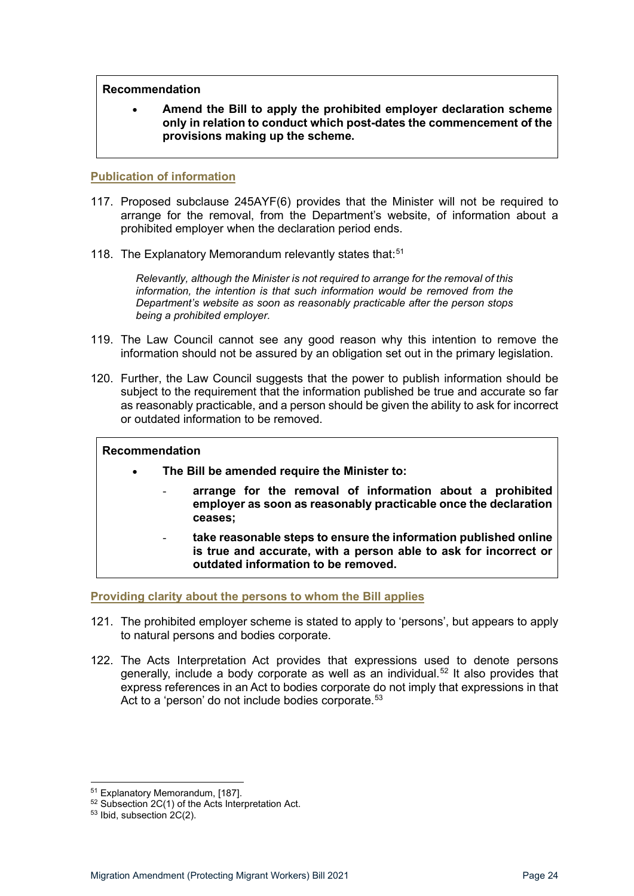• **Amend the Bill to apply the prohibited employer declaration scheme only in relation to conduct which post-dates the commencement of the provisions making up the scheme.** 

#### <span id="page-23-0"></span>**Publication of information**

- 117. Proposed subclause 245AYF(6) provides that the Minister will not be required to arrange for the removal, from the Department's website, of information about a prohibited employer when the declaration period ends.
- 118. The Explanatory Memorandum relevantly states that:<sup>[51](#page-23-2)</sup>

*Relevantly, although the Minister is not required to arrange for the removal of this information, the intention is that such information would be removed from the Department's website as soon as reasonably practicable after the person stops being a prohibited employer.* 

- 119. The Law Council cannot see any good reason why this intention to remove the information should not be assured by an obligation set out in the primary legislation.
- 120. Further, the Law Council suggests that the power to publish information should be subject to the requirement that the information published be true and accurate so far as reasonably practicable, and a person should be given the ability to ask for incorrect or outdated information to be removed.

#### **Recommendation**

- **The Bill be amended require the Minister to:**
	- **arrange for the removal of information about a prohibited employer as soon as reasonably practicable once the declaration ceases;**
	- **take reasonable steps to ensure the information published online is true and accurate, with a person able to ask for incorrect or outdated information to be removed.**

<span id="page-23-1"></span>**Providing clarity about the persons to whom the Bill applies**

- 121. The prohibited employer scheme is stated to apply to 'persons', but appears to apply to natural persons and bodies corporate.
- 122. The Acts Interpretation Act provides that expressions used to denote persons generally, include a body corporate as well as an individual.<sup>[52](#page-23-3)</sup> It also provides that express references in an Act to bodies corporate do not imply that expressions in that Act to a 'person' do not include bodies corporate. [53](#page-23-4)

<span id="page-23-3"></span><span id="page-23-2"></span><sup>&</sup>lt;sup>51</sup> Explanatory Memorandum, [187].<br><sup>52</sup> Subsection 2C(1) of the Acts Interpretation Act.<br><sup>53</sup> Ibid, subsection 2C(2).

<span id="page-23-4"></span>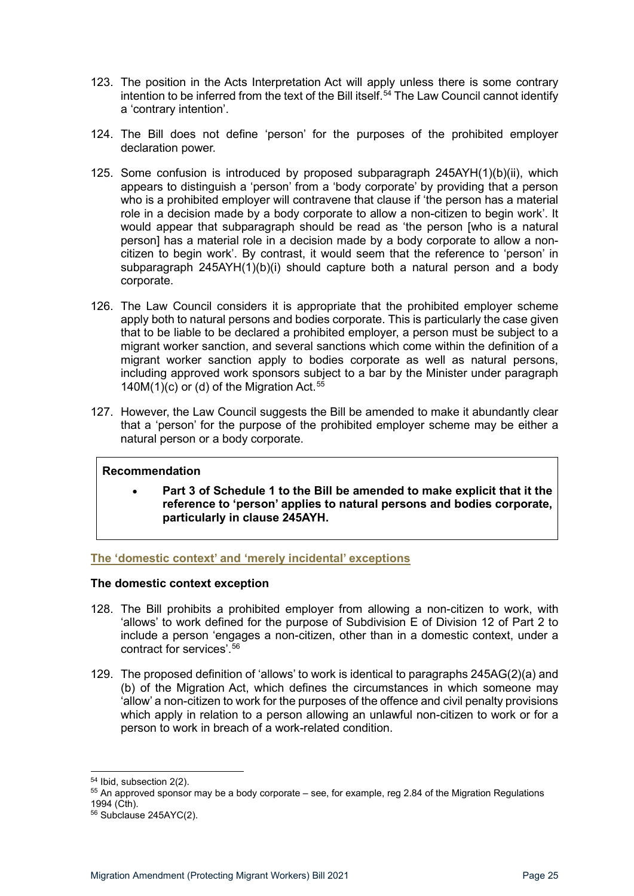- 123. The position in the Acts Interpretation Act will apply unless there is some contrary intention to be inferred from the text of the Bill itself.<sup>[54](#page-24-2)</sup> The Law Council cannot identify a 'contrary intention'.
- 124. The Bill does not define 'person' for the purposes of the prohibited employer declaration power.
- 125. Some confusion is introduced by proposed subparagraph 245AYH(1)(b)(ii), which appears to distinguish a 'person' from a 'body corporate' by providing that a person who is a prohibited employer will contravene that clause if 'the person has a material role in a decision made by a body corporate to allow a non-citizen to begin work'. It would appear that subparagraph should be read as 'the person [who is a natural person] has a material role in a decision made by a body corporate to allow a noncitizen to begin work'. By contrast, it would seem that the reference to 'person' in subparagraph 245AYH(1)(b)(i) should capture both a natural person and a body corporate.
- 126. The Law Council considers it is appropriate that the prohibited employer scheme apply both to natural persons and bodies corporate. This is particularly the case given that to be liable to be declared a prohibited employer, a person must be subject to a migrant worker sanction, and several sanctions which come within the definition of a migrant worker sanction apply to bodies corporate as well as natural persons, including approved work sponsors subject to a bar by the Minister under paragraph 140M(1)(c) or (d) of the Migration Act.<sup>[55](#page-24-3)</sup>
- 127. However, the Law Council suggests the Bill be amended to make it abundantly clear that a 'person' for the purpose of the prohibited employer scheme may be either a natural person or a body corporate.

• **Part 3 of Schedule 1 to the Bill be amended to make explicit that it the reference to 'person' applies to natural persons and bodies corporate, particularly in clause 245AYH.**

#### <span id="page-24-0"></span>**The 'domestic context' and 'merely incidental' exceptions**

#### <span id="page-24-1"></span>**The domestic context exception**

- 128. The Bill prohibits a prohibited employer from allowing a non-citizen to work, with 'allows' to work defined for the purpose of Subdivision E of Division 12 of Part 2 to include a person 'engages a non-citizen, other than in a domestic context, under a contract for services'.[56](#page-24-4)
- 129. The proposed definition of 'allows' to work is identical to paragraphs 245AG(2)(a) and (b) of the Migration Act, which defines the circumstances in which someone may 'allow' a non-citizen to work for the purposes of the offence and civil penalty provisions which apply in relation to a person allowing an unlawful non-citizen to work or for a person to work in breach of a work-related condition.

<span id="page-24-3"></span><span id="page-24-2"></span> $54$  Ibid, subsection 2(2).<br> $55$  An approved sponsor may be a body corporate – see, for example, reg 2.84 of the Migration Regulations 1994 (Cth).

<span id="page-24-4"></span><sup>56</sup> Subclause 245AYC(2).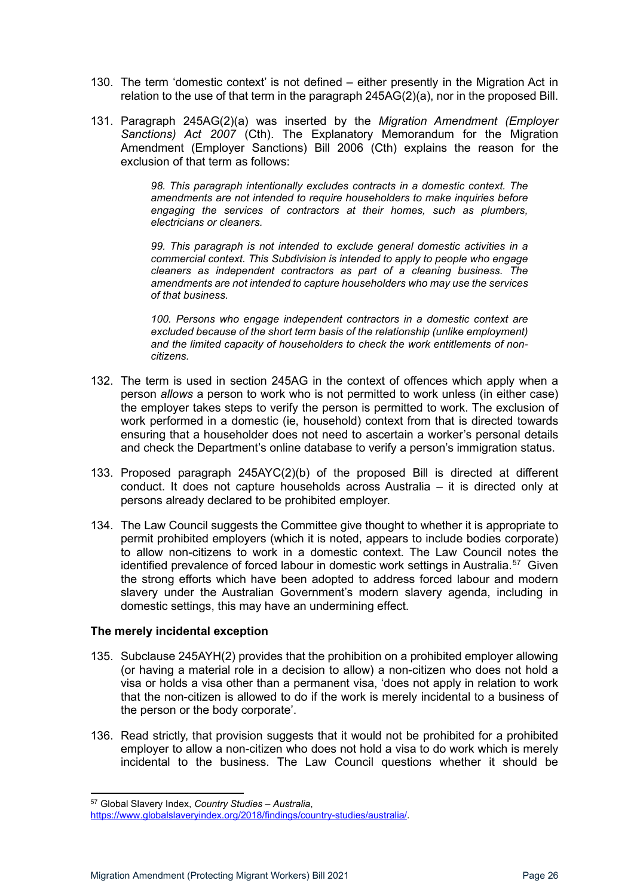- 130. The term 'domestic context' is not defined either presently in the Migration Act in relation to the use of that term in the paragraph 245AG(2)(a), nor in the proposed Bill.
- 131. Paragraph 245AG(2)(a) was inserted by the *Migration Amendment (Employer Sanctions) Act 2007* (Cth). The Explanatory Memorandum for the Migration Amendment (Employer Sanctions) Bill 2006 (Cth) explains the reason for the exclusion of that term as follows:

*98. This paragraph intentionally excludes contracts in a domestic context. The amendments are not intended to require householders to make inquiries before engaging the services of contractors at their homes, such as plumbers, electricians or cleaners.*

*99. This paragraph is not intended to exclude general domestic activities in a commercial context. This Subdivision is intended to apply to people who engage cleaners as independent contractors as part of a cleaning business. The amendments are not intended to capture householders who may use the services of that business.*

*100. Persons who engage independent contractors in a domestic context are excluded because of the short term basis of the relationship (unlike employment) and the limited capacity of householders to check the work entitlements of noncitizens.*

- 132. The term is used in section 245AG in the context of offences which apply when a person *allows* a person to work who is not permitted to work unless (in either case) the employer takes steps to verify the person is permitted to work. The exclusion of work performed in a domestic (ie, household) context from that is directed towards ensuring that a householder does not need to ascertain a worker's personal details and check the Department's online database to verify a person's immigration status.
- 133. Proposed paragraph 245AYC(2)(b) of the proposed Bill is directed at different conduct. It does not capture households across Australia – it is directed only at persons already declared to be prohibited employer.
- 134. The Law Council suggests the Committee give thought to whether it is appropriate to permit prohibited employers (which it is noted, appears to include bodies corporate) to allow non-citizens to work in a domestic context. The Law Council notes the identified prevalence of forced labour in domestic work settings in Australia.<sup>[57](#page-25-1)</sup> Given the strong efforts which have been adopted to address forced labour and modern slavery under the Australian Government's modern slavery agenda, including in domestic settings, this may have an undermining effect.

#### <span id="page-25-0"></span>**The merely incidental exception**

- 135. Subclause 245AYH(2) provides that the prohibition on a prohibited employer allowing (or having a material role in a decision to allow) a non-citizen who does not hold a visa or holds a visa other than a permanent visa, 'does not apply in relation to work that the non-citizen is allowed to do if the work is merely incidental to a business of the person or the body corporate'.
- 136. Read strictly, that provision suggests that it would not be prohibited for a prohibited employer to allow a non-citizen who does not hold a visa to do work which is merely incidental to the business. The Law Council questions whether it should be

<span id="page-25-1"></span><sup>57</sup> Global Slavery Index, *Country Studies – Australia*,

[https://www.globalslaveryindex.org/2018/findings/country-studies/australia/.](https://www.globalslaveryindex.org/2018/findings/country-studies/australia/)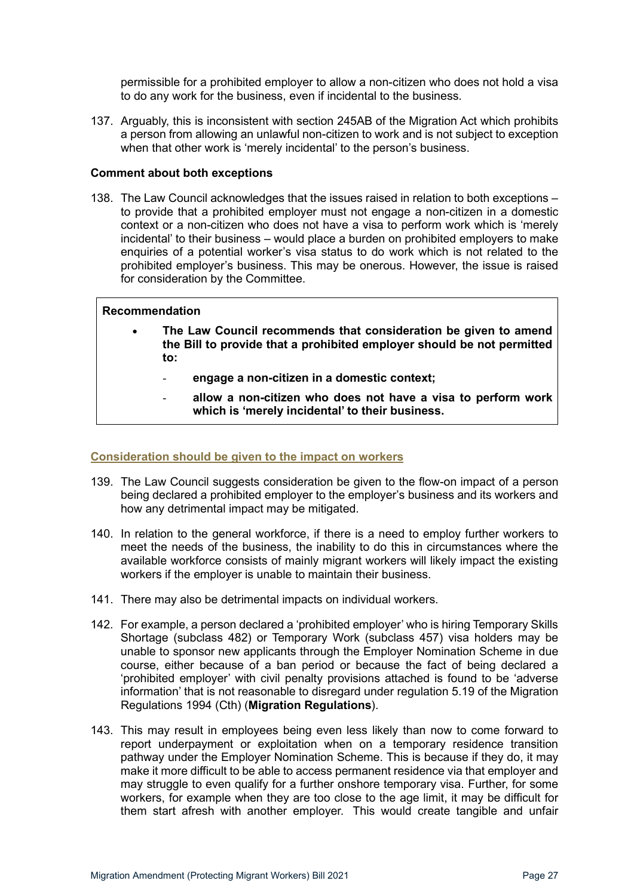permissible for a prohibited employer to allow a non-citizen who does not hold a visa to do any work for the business, even if incidental to the business.

137. Arguably, this is inconsistent with section 245AB of the Migration Act which prohibits a person from allowing an unlawful non-citizen to work and is not subject to exception when that other work is 'merely incidental' to the person's business.

#### <span id="page-26-0"></span>**Comment about both exceptions**

138. The Law Council acknowledges that the issues raised in relation to both exceptions – to provide that a prohibited employer must not engage a non-citizen in a domestic context or a non-citizen who does not have a visa to perform work which is 'merely incidental' to their business – would place a burden on prohibited employers to make enquiries of a potential worker's visa status to do work which is not related to the prohibited employer's business. This may be onerous. However, the issue is raised for consideration by the Committee.

#### **Recommendation**

- **The Law Council recommends that consideration be given to amend the Bill to provide that a prohibited employer should be not permitted to:**
	- **engage a non-citizen in a domestic context;**
	- **allow a non-citizen who does not have a visa to perform work which is 'merely incidental' to their business.**

#### <span id="page-26-1"></span>**Consideration should be given to the impact on workers**

- 139. The Law Council suggests consideration be given to the flow-on impact of a person being declared a prohibited employer to the employer's business and its workers and how any detrimental impact may be mitigated.
- 140. In relation to the general workforce, if there is a need to employ further workers to meet the needs of the business, the inability to do this in circumstances where the available workforce consists of mainly migrant workers will likely impact the existing workers if the employer is unable to maintain their business.
- 141. There may also be detrimental impacts on individual workers.
- 142. For example, a person declared a 'prohibited employer' who is hiring Temporary Skills Shortage (subclass 482) or Temporary Work (subclass 457) visa holders may be unable to sponsor new applicants through the Employer Nomination Scheme in due course, either because of a ban period or because the fact of being declared a 'prohibited employer' with civil penalty provisions attached is found to be 'adverse information' that is not reasonable to disregard under regulation 5.19 of the Migration Regulations 1994 (Cth) (**Migration Regulations**).
- 143. This may result in employees being even less likely than now to come forward to report underpayment or exploitation when on a temporary residence transition pathway under the Employer Nomination Scheme. This is because if they do, it may make it more difficult to be able to access permanent residence via that employer and may struggle to even qualify for a further onshore temporary visa. Further, for some workers, for example when they are too close to the age limit, it may be difficult for them start afresh with another employer. This would create tangible and unfair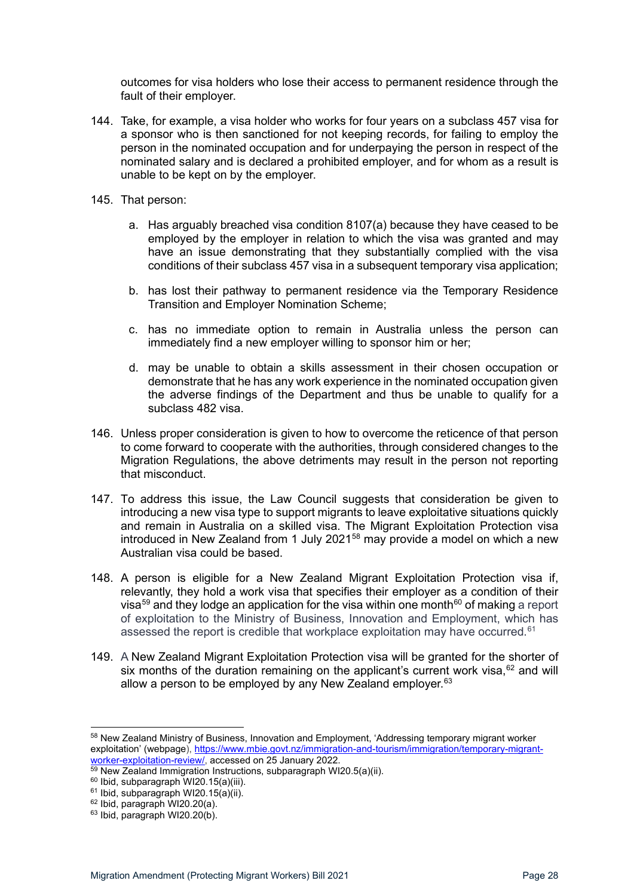outcomes for visa holders who lose their access to permanent residence through the fault of their employer.

- 144. Take, for example, a visa holder who works for four years on a subclass 457 visa for a sponsor who is then sanctioned for not keeping records, for failing to employ the person in the nominated occupation and for underpaying the person in respect of the nominated salary and is declared a prohibited employer, and for whom as a result is unable to be kept on by the employer.
- 145. That person:
	- a. Has arguably breached visa condition 8107(a) because they have ceased to be employed by the employer in relation to which the visa was granted and may have an issue demonstrating that they substantially complied with the visa conditions of their subclass 457 visa in a subsequent temporary visa application;
	- b. has lost their pathway to permanent residence via the Temporary Residence Transition and Employer Nomination Scheme;
	- c. has no immediate option to remain in Australia unless the person can immediately find a new employer willing to sponsor him or her;
	- d. may be unable to obtain a skills assessment in their chosen occupation or demonstrate that he has any work experience in the nominated occupation given the adverse findings of the Department and thus be unable to qualify for a subclass 482 visa.
- 146. Unless proper consideration is given to how to overcome the reticence of that person to come forward to cooperate with the authorities, through considered changes to the Migration Regulations, the above detriments may result in the person not reporting that misconduct.
- 147. To address this issue, the Law Council suggests that consideration be given to introducing a new visa type to support migrants to leave exploitative situations quickly and remain in Australia on a skilled visa. The Migrant Exploitation Protection visa introduced in New Zealand from 1 July 2021<sup>[58](#page-27-0)</sup> may provide a model on which a new Australian visa could be based.
- 148. A person is eligible for a New Zealand Migrant Exploitation Protection visa if, relevantly, they hold a work visa that specifies their employer as a condition of their visa<sup>[59](#page-27-1)</sup> and they lodge an application for the visa within one month<sup>[60](#page-27-2)</sup> of making a report of exploitation to the Ministry of Business, Innovation and Employment, which has assessed the report is credible that workplace exploitation may have occurred.<sup>[61](#page-27-3)</sup>
- 149. A New Zealand Migrant Exploitation Protection visa will be granted for the shorter of six months of the duration remaining on the applicant's current work visa,  $62$  and will allow a person to be employed by any New Zealand employer.  $63$

<span id="page-27-0"></span><sup>58</sup> New Zealand Ministry of Business, Innovation and Employment, 'Addressing temporary migrant worker exploitation' (webpage), https://www.mbie.govt.nz/immigration-and-tourism/immigration/temporary-migrant-<br>worker-exploitation-review/, accessed on 25 January 2022.

<span id="page-27-2"></span><span id="page-27-1"></span> $\frac{59}{69}$  New Zealand Immigration Instructions, subparagraph WI20.5(a)(ii).<br><sup>60</sup> Ibid, subparagraph WI20.15(a)(iii).

 $61$  Ibid, subparagraph WI20.15(a)(ii).

<span id="page-27-3"></span> $62$  Ibid, paragraph WI20.20(a).

<span id="page-27-5"></span><span id="page-27-4"></span> $63$  Ibid, paragraph WI20.20(b).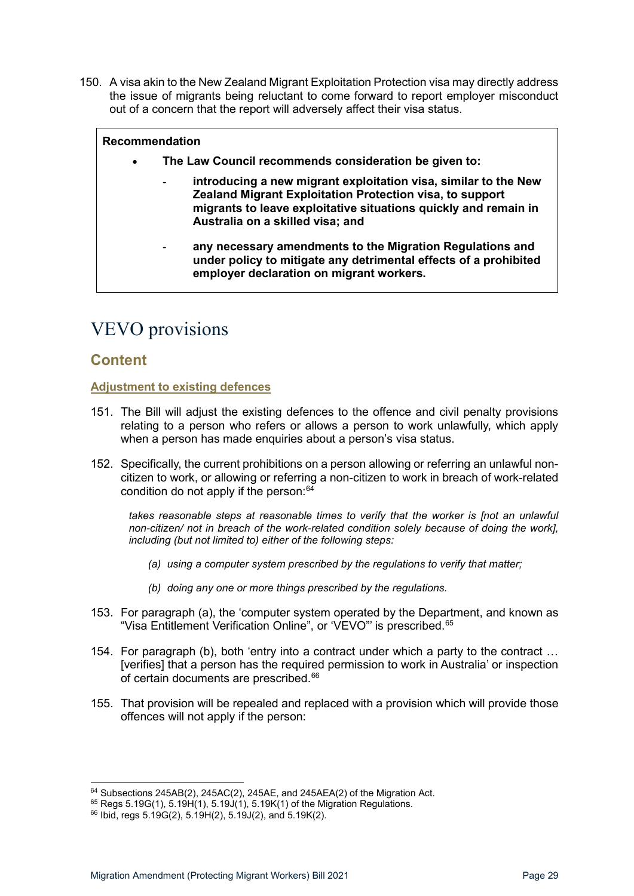150. A visa akin to the New Zealand Migrant Exploitation Protection visa may directly address the issue of migrants being reluctant to come forward to report employer misconduct out of a concern that the report will adversely affect their visa status.

#### **Recommendation**

- **The Law Council recommends consideration be given to:**
	- **introducing a new migrant exploitation visa, similar to the New Zealand Migrant Exploitation Protection visa, to support migrants to leave exploitative situations quickly and remain in Australia on a skilled visa; and**
	- any necessary amendments to the Migration Regulations and **under policy to mitigate any detrimental effects of a prohibited employer declaration on migrant workers.**

# <span id="page-28-0"></span>VEVO provisions

### <span id="page-28-1"></span>**Content**

#### <span id="page-28-2"></span>**Adjustment to existing defences**

- 151. The Bill will adjust the existing defences to the offence and civil penalty provisions relating to a person who refers or allows a person to work unlawfully, which apply when a person has made enquiries about a person's visa status.
- 152. Specifically, the current prohibitions on a person allowing or referring an unlawful noncitizen to work, or allowing or referring a non-citizen to work in breach of work-related condition do not apply if the person: $64$

takes reasonable steps at reasonable times to verify that the worker is [not an unlawful *non-citizen/ not in breach of the work-related condition solely because of doing the work], including (but not limited to) either of the following steps:*

- *(a) using a computer system prescribed by the regulations to verify that matter;*
- *(b) doing any one or more things prescribed by the regulations.*
- 153. For paragraph (a), the 'computer system operated by the Department, and known as "Visa Entitlement Verification Online", or 'VEVO" is prescribed.<sup>[65](#page-28-4)</sup>
- 154. For paragraph (b), both 'entry into a contract under which a party to the contract … [verifies] that a person has the required permission to work in Australia' or inspection of certain documents are prescribed.<sup>[66](#page-28-5)</sup>
- 155. That provision will be repealed and replaced with a provision which will provide those offences will not apply if the person:

<span id="page-28-3"></span><sup>64</sup> Subsections 245AB(2), 245AC(2), 245AE, and 245AEA(2) of the Migration Act.

 $65$  Regs 5.19G(1), 5.19H(1), 5.19J(1), 5.19K(1) of the Migration Regulations.

<span id="page-28-5"></span><span id="page-28-4"></span><sup>66</sup> Ibid, regs 5.19G(2), 5.19H(2), 5.19J(2), and 5.19K(2).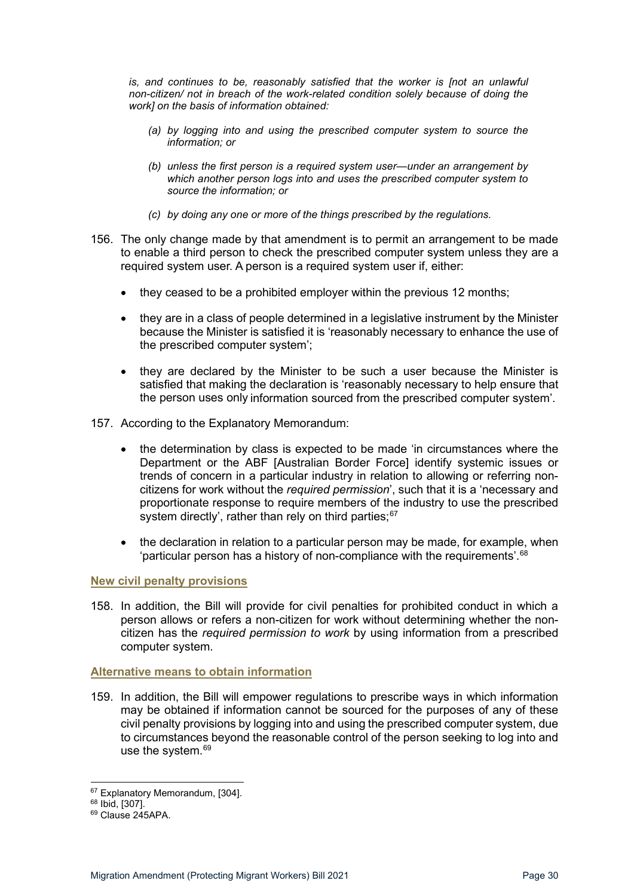*is, and continues to be, reasonably satisfied that the worker is [not an unlawful non-citizen/ not in breach of the work-related condition solely because of doing the work] on the basis of information obtained:* 

- *(a) by logging into and using the prescribed computer system to source the information; or*
- *(b) unless the first person is a required system user—under an arrangement by which another person logs into and uses the prescribed computer system to source the information; or*
- *(c) by doing any one or more of the things prescribed by the regulations.*
- 156. The only change made by that amendment is to permit an arrangement to be made to enable a third person to check the prescribed computer system unless they are a required system user. A person is a required system user if, either:
	- they ceased to be a prohibited employer within the previous 12 months;
	- they are in a class of people determined in a legislative instrument by the Minister because the Minister is satisfied it is 'reasonably necessary to enhance the use of the prescribed computer system';
	- they are declared by the Minister to be such a user because the Minister is satisfied that making the declaration is 'reasonably necessary to help ensure that the person uses only information sourced from the prescribed computer system'.
- 157. According to the Explanatory Memorandum:
	- the determination by class is expected to be made 'in circumstances where the Department or the ABF [Australian Border Force] identify systemic issues or trends of concern in a particular industry in relation to allowing or referring noncitizens for work without the *required permission*', such that it is a 'necessary and proportionate response to require members of the industry to use the prescribed system directly', rather than rely on third parties;<sup>[67](#page-29-2)</sup>
	- the declaration in relation to a particular person may be made, for example, when 'particular person has a history of non-compliance with the requirements'.<sup>[68](#page-29-3)</sup>

#### <span id="page-29-0"></span>**New civil penalty provisions**

158. In addition, the Bill will provide for civil penalties for prohibited conduct in which a person allows or refers a non-citizen for work without determining whether the noncitizen has the *required permission to work* by using information from a prescribed computer system.

#### <span id="page-29-1"></span>**Alternative means to obtain information**

159. In addition, the Bill will empower regulations to prescribe ways in which information may be obtained if information cannot be sourced for the purposes of any of these civil penalty provisions by logging into and using the prescribed computer system, due to circumstances beyond the reasonable control of the person seeking to log into and use the system.<sup>[69](#page-29-4)</sup>

<span id="page-29-2"></span> $67$  Explanatory Memorandum, [304].<br> $68$  Ibid, [307].<br> $69$  Clause 245APA.

<span id="page-29-4"></span><span id="page-29-3"></span>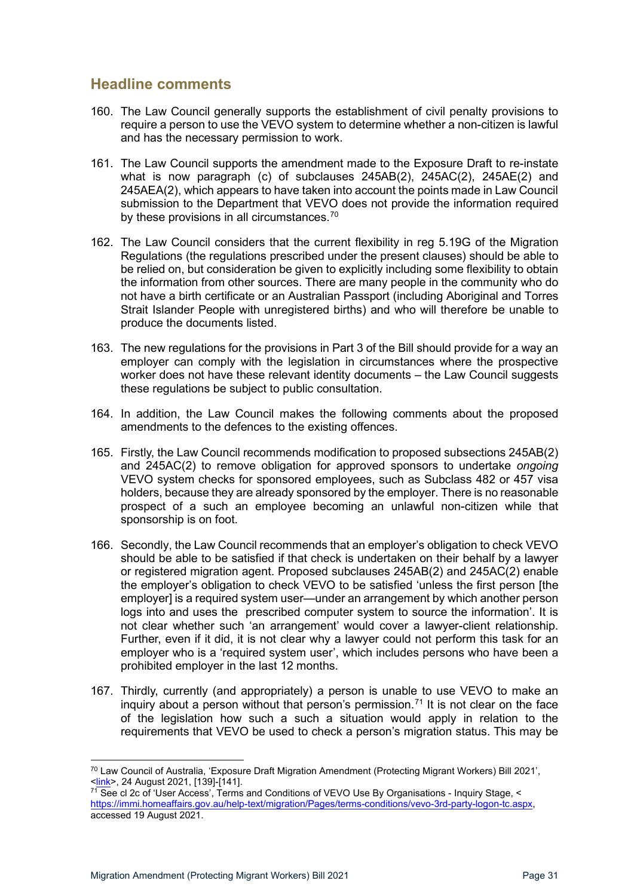## <span id="page-30-0"></span>**Headline comments**

- 160. The Law Council generally supports the establishment of civil penalty provisions to require a person to use the VEVO system to determine whether a non-citizen is lawful and has the necessary permission to work.
- 161. The Law Council supports the amendment made to the Exposure Draft to re-instate what is now paragraph (c) of subclauses 245AB(2), 245AC(2), 245AE(2) and 245AEA(2), which appears to have taken into account the points made in Law Council submission to the Department that VEVO does not provide the information required by these provisions in all circumstances.<sup>[70](#page-30-1)</sup>
- 162. The Law Council considers that the current flexibility in reg 5.19G of the Migration Regulations (the regulations prescribed under the present clauses) should be able to be relied on, but consideration be given to explicitly including some flexibility to obtain the information from other sources. There are many people in the community who do not have a birth certificate or an Australian Passport (including Aboriginal and Torres Strait Islander People with unregistered births) and who will therefore be unable to produce the documents listed.
- 163. The new regulations for the provisions in Part 3 of the Bill should provide for a way an employer can comply with the legislation in circumstances where the prospective worker does not have these relevant identity documents – the Law Council suggests these regulations be subject to public consultation.
- 164. In addition, the Law Council makes the following comments about the proposed amendments to the defences to the existing offences.
- 165. Firstly, the Law Council recommends modification to proposed subsections 245AB(2) and 245AC(2) to remove obligation for approved sponsors to undertake *ongoing* VEVO system checks for sponsored employees, such as Subclass 482 or 457 visa holders, because they are already sponsored by the employer. There is no reasonable prospect of a such an employee becoming an unlawful non-citizen while that sponsorship is on foot.
- 166. Secondly, the Law Council recommends that an employer's obligation to check VEVO should be able to be satisfied if that check is undertaken on their behalf by a lawyer or registered migration agent. Proposed subclauses 245AB(2) and 245AC(2) enable the employer's obligation to check VEVO to be satisfied 'unless the first person [the employer] is a required system user—under an arrangement by which another person logs into and uses the prescribed computer system to source the information'. It is not clear whether such 'an arrangement' would cover a lawyer-client relationship. Further, even if it did, it is not clear why a lawyer could not perform this task for an employer who is a 'required system user', which includes persons who have been a prohibited employer in the last 12 months.
- 167. Thirdly, currently (and appropriately) a person is unable to use VEVO to make an inquiry about a person without that person's permission.<sup>[71](#page-30-2)</sup> It is not clear on the face of the legislation how such a such a situation would apply in relation to the requirements that VEVO be used to check a person's migration status. This may be

<span id="page-30-1"></span><sup>&</sup>lt;sup>70</sup> Law Council of Australia, 'Exposure Draft Migration Amendment (Protecting Migrant Workers) Bill 2021',<br><link>, 24 August 2021, [139]-[141].

<span id="page-30-2"></span><sup>&</sup>lt;sup>71</sup> See cl 2c of 'User Access', Terms and Conditions of VEVO Use By Organisations - Inquiry Stage, < [https://immi.homeaffairs.gov.au/help-text/migration/Pages/terms-conditions/vevo-3rd-party-logon-tc.aspx,](https://immi.homeaffairs.gov.au/help-text/migration/Pages/terms-conditions/vevo-3rd-party-logon-tc.aspx) accessed 19 August 2021.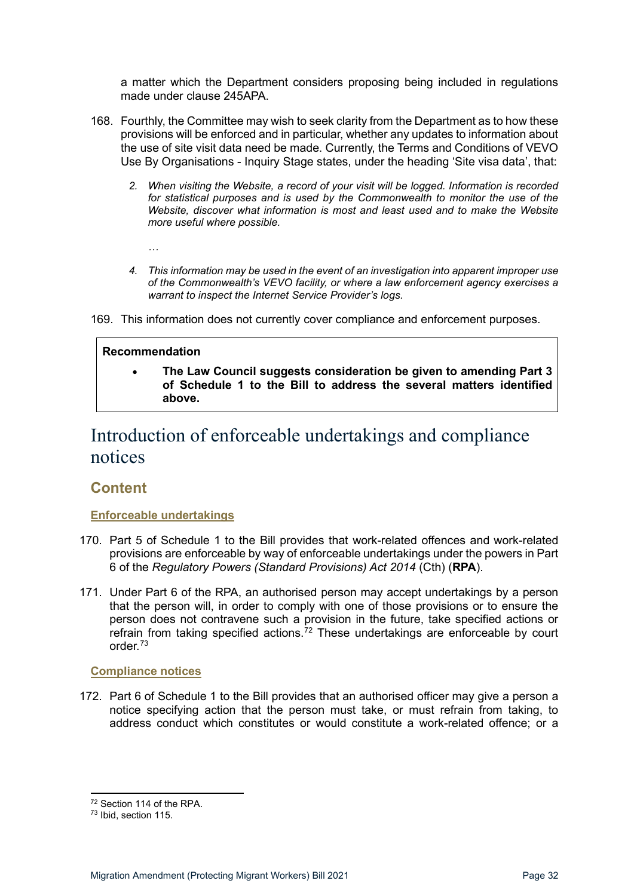a matter which the Department considers proposing being included in regulations made under clause 245APA.

- 168. Fourthly, the Committee may wish to seek clarity from the Department as to how these provisions will be enforced and in particular, whether any updates to information about the use of site visit data need be made. Currently, the Terms and Conditions of VEVO Use By Organisations - Inquiry Stage states, under the heading 'Site visa data', that:
	- *2. When visiting the Website, a record of your visit will be logged. Information is recorded for statistical purposes and is used by the Commonwealth to monitor the use of the Website, discover what information is most and least used and to make the Website more useful where possible.*
		- *…*
	- *4. This information may be used in the event of an investigation into apparent improper use of the Commonwealth's VEVO facility, or where a law enforcement agency exercises a warrant to inspect the Internet Service Provider's logs.*

169. This information does not currently cover compliance and enforcement purposes.

#### **Recommendation**

• **The Law Council suggests consideration be given to amending Part 3 of Schedule 1 to the Bill to address the several matters identified above.**

# <span id="page-31-0"></span>Introduction of enforceable undertakings and compliance notices

### <span id="page-31-1"></span>**Content**

#### <span id="page-31-2"></span>**Enforceable undertakings**

- 170. Part 5 of Schedule 1 to the Bill provides that work-related offences and work-related provisions are enforceable by way of enforceable undertakings under the powers in Part 6 of the *Regulatory Powers (Standard Provisions) Act 2014* (Cth) (**RPA**).
- 171. Under Part 6 of the RPA, an authorised person may accept undertakings by a person that the person will, in order to comply with one of those provisions or to ensure the person does not contravene such a provision in the future, take specified actions or refrain from taking specified actions.<sup>[72](#page-31-4)</sup> These undertakings are enforceable by court order<sup>[73](#page-31-5)</sup>

#### <span id="page-31-3"></span>**Compliance notices**

172. Part 6 of Schedule 1 to the Bill provides that an authorised officer may give a person a notice specifying action that the person must take, or must refrain from taking, to address conduct which constitutes or would constitute a work-related offence; or a

<span id="page-31-4"></span><sup>72</sup> Section 114 of the RPA.

<span id="page-31-5"></span><sup>73</sup> Ibid, section 115.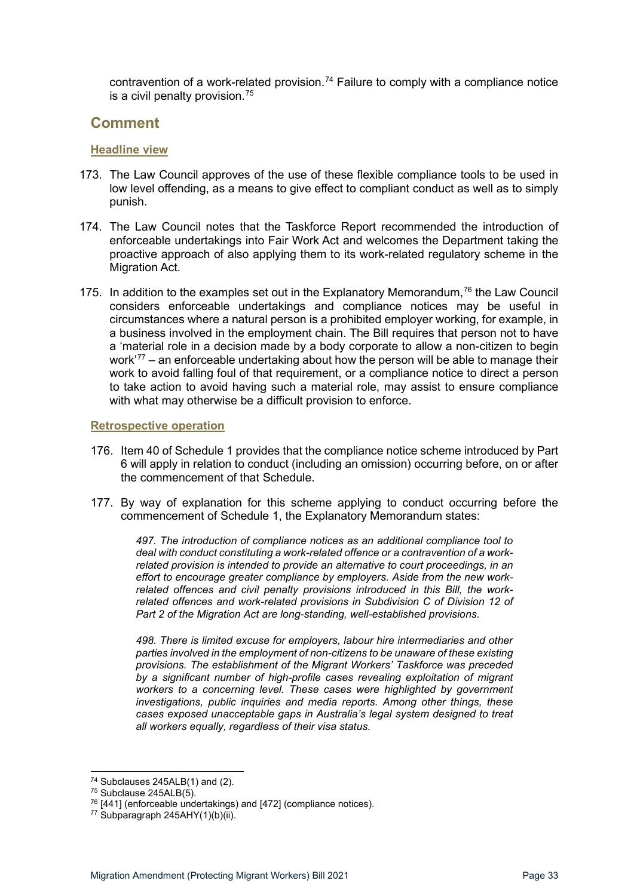contravention of a work-related provision.<sup>[74](#page-32-3)</sup> Failure to comply with a compliance notice is a civil penalty provision.[75](#page-32-4)

### <span id="page-32-0"></span>**Comment**

#### <span id="page-32-1"></span>**Headline view**

- 173. The Law Council approves of the use of these flexible compliance tools to be used in low level offending, as a means to give effect to compliant conduct as well as to simply punish.
- 174. The Law Council notes that the Taskforce Report recommended the introduction of enforceable undertakings into Fair Work Act and welcomes the Department taking the proactive approach of also applying them to its work-related regulatory scheme in the **Migration Act.**
- 175. In addition to the examples set out in the Explanatory Memorandum,<sup>[76](#page-32-5)</sup> the Law Council considers enforceable undertakings and compliance notices may be useful in circumstances where a natural person is a prohibited employer working, for example, in a business involved in the employment chain. The Bill requires that person not to have a 'material role in a decision made by a body corporate to allow a non-citizen to begin work'[77](#page-32-6) – an enforceable undertaking about how the person will be able to manage their work to avoid falling foul of that requirement, or a compliance notice to direct a person to take action to avoid having such a material role, may assist to ensure compliance with what may otherwise be a difficult provision to enforce.

#### <span id="page-32-2"></span>**Retrospective operation**

- 176. Item 40 of Schedule 1 provides that the compliance notice scheme introduced by Part 6 will apply in relation to conduct (including an omission) occurring before, on or after the commencement of that Schedule.
- 177. By way of explanation for this scheme applying to conduct occurring before the commencement of Schedule 1, the Explanatory Memorandum states:

*497. The introduction of compliance notices as an additional compliance tool to deal with conduct constituting a work-related offence or a contravention of a workrelated provision is intended to provide an alternative to court proceedings, in an effort to encourage greater compliance by employers. Aside from the new workrelated offences and civil penalty provisions introduced in this Bill, the workrelated offences and work-related provisions in Subdivision C of Division 12 of Part 2 of the Migration Act are long-standing, well-established provisions.* 

*498. There is limited excuse for employers, labour hire intermediaries and other parties involved in the employment of non-citizens to be unaware of these existing provisions. The establishment of the Migrant Workers' Taskforce was preceded by a significant number of high-profile cases revealing exploitation of migrant workers to a concerning level. These cases were highlighted by government investigations, public inquiries and media reports. Among other things, these cases exposed unacceptable gaps in Australia's legal system designed to treat all workers equally, regardless of their visa status.* 

<span id="page-32-3"></span> $74$  Subclauses 245ALB(1) and (2).<br> $75$  Subclause 245ALB(5).

<span id="page-32-4"></span>

<span id="page-32-5"></span> $76$  [441] (enforceable undertakings) and [472] (compliance notices).

<span id="page-32-6"></span><sup>77</sup> Subparagraph 245AHY(1)(b)(ii).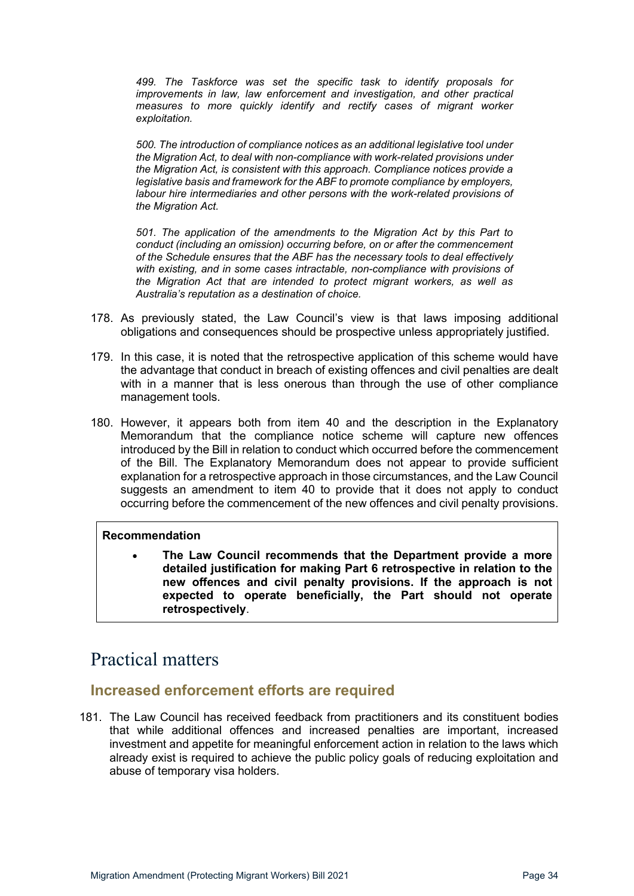*499. The Taskforce was set the specific task to identify proposals for improvements in law, law enforcement and investigation, and other practical measures to more quickly identify and rectify cases of migrant worker exploitation.* 

*500. The introduction of compliance notices as an additional legislative tool under the Migration Act, to deal with non-compliance with work-related provisions under the Migration Act, is consistent with this approach. Compliance notices provide a legislative basis and framework for the ABF to promote compliance by employers, labour hire intermediaries and other persons with the work-related provisions of the Migration Act.* 

*501. The application of the amendments to the Migration Act by this Part to conduct (including an omission) occurring before, on or after the commencement of the Schedule ensures that the ABF has the necessary tools to deal effectively with existing, and in some cases intractable, non-compliance with provisions of the Migration Act that are intended to protect migrant workers, as well as Australia's reputation as a destination of choice.* 

- 178. As previously stated, the Law Council's view is that laws imposing additional obligations and consequences should be prospective unless appropriately justified.
- 179. In this case, it is noted that the retrospective application of this scheme would have the advantage that conduct in breach of existing offences and civil penalties are dealt with in a manner that is less onerous than through the use of other compliance management tools.
- 180. However, it appears both from item 40 and the description in the Explanatory Memorandum that the compliance notice scheme will capture new offences introduced by the Bill in relation to conduct which occurred before the commencement of the Bill. The Explanatory Memorandum does not appear to provide sufficient explanation for a retrospective approach in those circumstances, and the Law Council suggests an amendment to item 40 to provide that it does not apply to conduct occurring before the commencement of the new offences and civil penalty provisions.

#### **Recommendation**

• **The Law Council recommends that the Department provide a more detailed justification for making Part 6 retrospective in relation to the new offences and civil penalty provisions. If the approach is not expected to operate beneficially, the Part should not operate retrospectively**.

# <span id="page-33-0"></span>Practical matters

## <span id="page-33-1"></span>**Increased enforcement efforts are required**

181. The Law Council has received feedback from practitioners and its constituent bodies that while additional offences and increased penalties are important, increased investment and appetite for meaningful enforcement action in relation to the laws which already exist is required to achieve the public policy goals of reducing exploitation and abuse of temporary visa holders.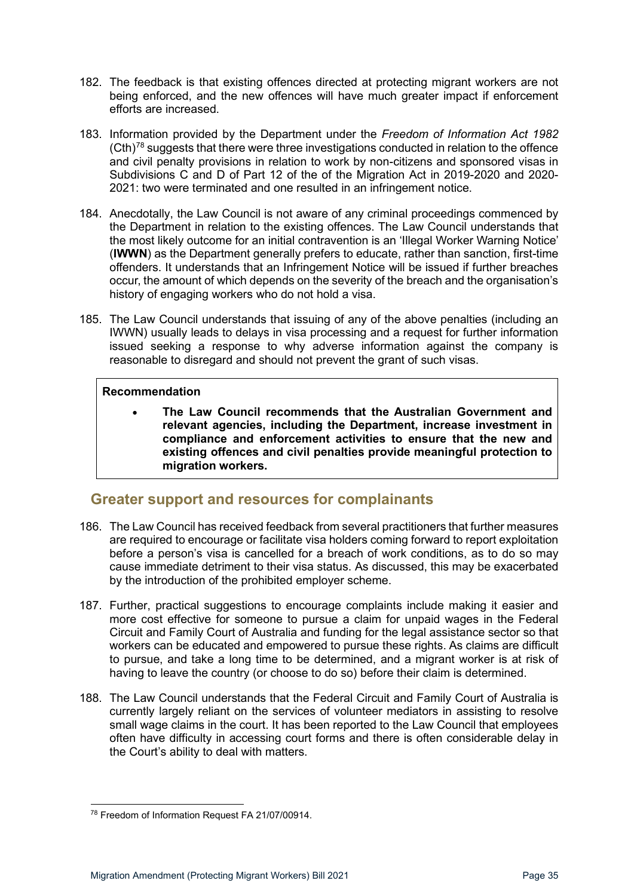- 182. The feedback is that existing offences directed at protecting migrant workers are not being enforced, and the new offences will have much greater impact if enforcement efforts are increased.
- 183. Information provided by the Department under the *Freedom of Information Act 1982*   $(Cth)<sup>78</sup>$  $(Cth)<sup>78</sup>$  $(Cth)<sup>78</sup>$  suggests that there were three investigations conducted in relation to the offence and civil penalty provisions in relation to work by non-citizens and sponsored visas in Subdivisions C and D of Part 12 of the of the Migration Act in 2019-2020 and 2020- 2021: two were terminated and one resulted in an infringement notice.
- 184. Anecdotally, the Law Council is not aware of any criminal proceedings commenced by the Department in relation to the existing offences. The Law Council understands that the most likely outcome for an initial contravention is an 'Illegal Worker Warning Notice' (**IWWN**) as the Department generally prefers to educate, rather than sanction, first-time offenders. It understands that an Infringement Notice will be issued if further breaches occur, the amount of which depends on the severity of the breach and the organisation's history of engaging workers who do not hold a visa.
- 185. The Law Council understands that issuing of any of the above penalties (including an IWWN) usually leads to delays in visa processing and a request for further information issued seeking a response to why adverse information against the company is reasonable to disregard and should not prevent the grant of such visas.

• **The Law Council recommends that the Australian Government and relevant agencies, including the Department, increase investment in compliance and enforcement activities to ensure that the new and existing offences and civil penalties provide meaningful protection to migration workers.**

## <span id="page-34-0"></span>**Greater support and resources for complainants**

- 186. The Law Council has received feedback from several practitioners that further measures are required to encourage or facilitate visa holders coming forward to report exploitation before a person's visa is cancelled for a breach of work conditions, as to do so may cause immediate detriment to their visa status. As discussed, this may be exacerbated by the introduction of the prohibited employer scheme.
- 187. Further, practical suggestions to encourage complaints include making it easier and more cost effective for someone to pursue a claim for unpaid wages in the Federal Circuit and Family Court of Australia and funding for the legal assistance sector so that workers can be educated and empowered to pursue these rights. As claims are difficult to pursue, and take a long time to be determined, and a migrant worker is at risk of having to leave the country (or choose to do so) before their claim is determined.
- 188. The Law Council understands that the Federal Circuit and Family Court of Australia is currently largely reliant on the services of volunteer mediators in assisting to resolve small wage claims in the court. It has been reported to the Law Council that employees often have difficulty in accessing court forms and there is often considerable delay in the Court's ability to deal with matters.

<span id="page-34-1"></span><sup>78</sup> Freedom of Information Request FA 21/07/00914.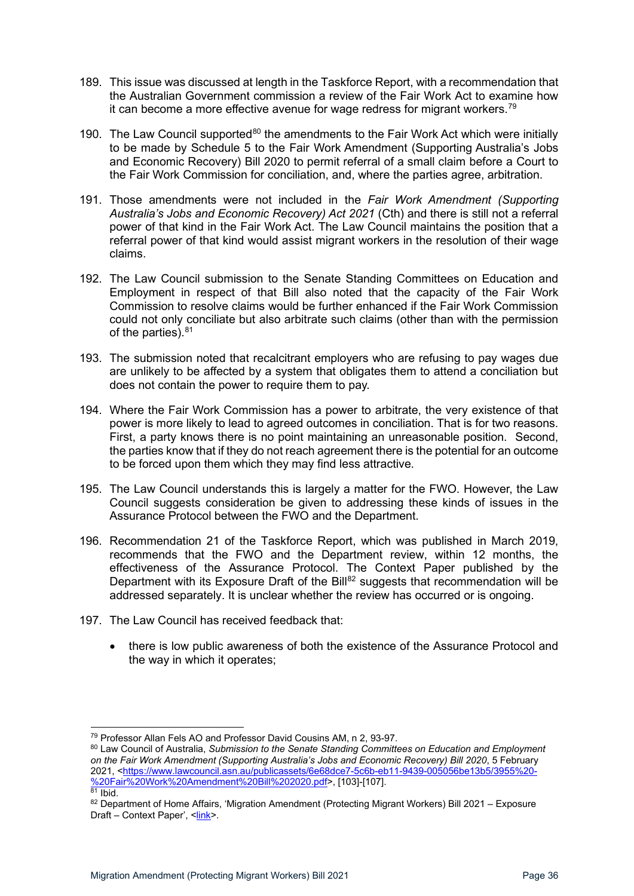- 189. This issue was discussed at length in the Taskforce Report, with a recommendation that the Australian Government commission a review of the Fair Work Act to examine how it can become a more effective avenue for wage redress for migrant workers.<sup>79</sup>
- 190. The Law Council supported<sup>[80](#page-35-1)</sup> the amendments to the Fair Work Act which were initially to be made by Schedule 5 to the Fair Work Amendment (Supporting Australia's Jobs and Economic Recovery) Bill 2020 to permit referral of a small claim before a Court to the Fair Work Commission for conciliation, and, where the parties agree, arbitration.
- 191. Those amendments were not included in the *Fair Work Amendment (Supporting Australia's Jobs and Economic Recovery) Act 2021* (Cth) and there is still not a referral power of that kind in the Fair Work Act. The Law Council maintains the position that a referral power of that kind would assist migrant workers in the resolution of their wage claims.
- 192. The Law Council submission to the Senate Standing Committees on Education and Employment in respect of that Bill also noted that the capacity of the Fair Work Commission to resolve claims would be further enhanced if the Fair Work Commission could not only conciliate but also arbitrate such claims (other than with the permission of the parties).<sup>[81](#page-35-2)</sup>
- 193. The submission noted that recalcitrant employers who are refusing to pay wages due are unlikely to be affected by a system that obligates them to attend a conciliation but does not contain the power to require them to pay.
- 194. Where the Fair Work Commission has a power to arbitrate, the very existence of that power is more likely to lead to agreed outcomes in conciliation. That is for two reasons. First, a party knows there is no point maintaining an unreasonable position. Second, the parties know that if they do not reach agreement there is the potential for an outcome to be forced upon them which they may find less attractive.
- 195. The Law Council understands this is largely a matter for the FWO. However, the Law Council suggests consideration be given to addressing these kinds of issues in the Assurance Protocol between the FWO and the Department.
- 196. Recommendation 21 of the Taskforce Report, which was published in March 2019, recommends that the FWO and the Department review, within 12 months, the effectiveness of the Assurance Protocol. The Context Paper published by the Department with its Exposure Draft of the Bill<sup>[82](#page-35-3)</sup> suggests that recommendation will be addressed separately. It is unclear whether the review has occurred or is ongoing.
- 197. The Law Council has received feedback that:
	- there is low public awareness of both the existence of the Assurance Protocol and the way in which it operates;

<span id="page-35-0"></span><sup>79</sup> Professor Allan Fels AO and Professor David Cousins AM, n 2, 93-97.

<span id="page-35-1"></span><sup>80</sup> Law Council of Australia, *Submission to the Senate Standing Committees on Education and Employment on the Fair Work Amendment (Supporting Australia's Jobs and Economic Recovery) Bill 2020*, 5 February 2021, [<https://www.lawcouncil.asn.au/publicassets/6e68dce7-5c6b-eb11-9439-005056be13b5/3955%20-](https://www.lawcouncil.asn.au/publicassets/6e68dce7-5c6b-eb11-9439-005056be13b5/3955%20-%20Fair%20Work%20Amendment%20Bill%202020.pdf)<br>%20Fair%20Work%20Amendment%20Bill%202020.pdf>, [103]-[107].

<span id="page-35-3"></span><span id="page-35-2"></span> $\frac{81}{100}$  Ibid.<br>
82 Department of Home Affairs, 'Migration Amendment (Protecting Migrant Workers) Bill 2021 – Exposure Draft – Context Paper', [<link>](https://www.homeaffairs.gov.au/reports-and-pubs/files/exposure-draft-bill/exposure-draft-migration-amendment-protecting-migrant-workers-bill-2021/migration-amendment-context-paper.pdf).